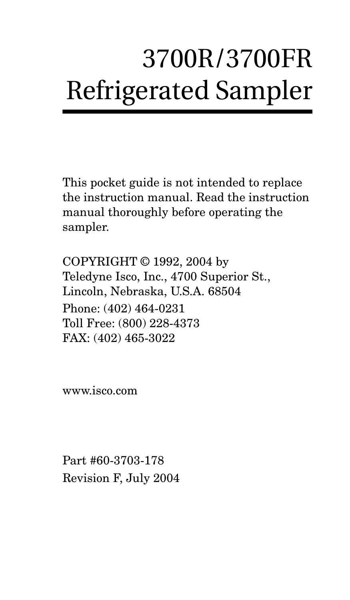# 3700R/3700FR Refrigerated Sampler

This pocket guide is not intended to replace the instruction manual. Read the instruction manual thoroughly before operating the sampler.

COPYRIGHT © 1992, 2004 by Teledyne Isco, Inc., 4700 Superior St., Lincoln, Nebraska, U.S.A. 68504 Phone: (402) 464-0231 Toll Free: (800) 228-4373 FAX: (402) 465-3022

[www.isco.com](http://www.isco.com)

Part #60-3703-178 Revision F, July 2004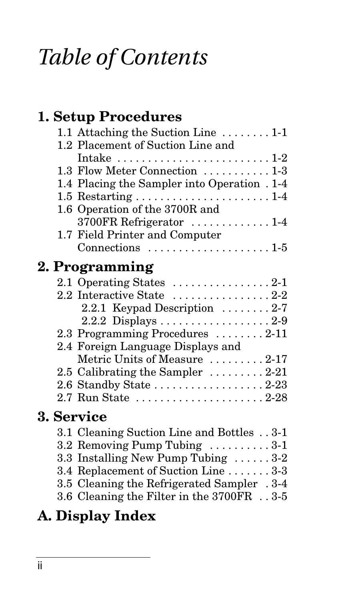# *Table of Contents*

#### **[1. Setup Procedures](#page-2-0)**

| 1.1 Attaching the Suction Line $\dots \dots 1-1$              |
|---------------------------------------------------------------|
| 1.2 Placement of Suction Line and                             |
| Intake $\ldots \ldots \ldots \ldots \ldots \ldots \ldots 1-2$ |
| 1.3 Flow Meter Connection  1-3                                |
| 1.4 Placing the Sampler into Operation . 1-4                  |
|                                                               |
| 1.6 Operation of the 3700R and                                |
| 3700FR Refrigerator  1-4                                      |
| 1.7 Field Printer and Computer                                |
| Connections $\dots \dots \dots \dots \dots \dots \dots 1.5$   |
|                                                               |

#### **[2. Programming](#page-8-0)**

| 2.1 Operating States $\dots \dots \dots \dots \dots 2-1$ |
|----------------------------------------------------------|
| 2.2 Interactive State 2-2                                |
| 2.2.1 Keypad Description  2-7                            |
|                                                          |
| 2.3 Programming Procedures 2-11                          |
| 2.4 Foreign Language Displays and                        |
| Metric Units of Measure  2-17                            |
| 2.5 Calibrating the Sampler  2-21                        |
| 2.6 Standby State 2-23                                   |
| 2.7 Run State 2-28                                       |

#### **[3. Service](#page-42-0)**

| 3.1 Cleaning Suction Line and Bottles 3-1   |
|---------------------------------------------|
| 3.2 Removing Pump Tubing  3-1               |
| 3.3 Installing New Pump Tubing $\ldots$ 3-2 |
| 3.4 Replacement of Suction Line 3-3         |
| 3.5 Cleaning the Refrigerated Sampler .3-4  |
| 3.6 Cleaning the Filter in the 3700FR 3-5   |
|                                             |

#### **[A. Display Index](#page-48-0)**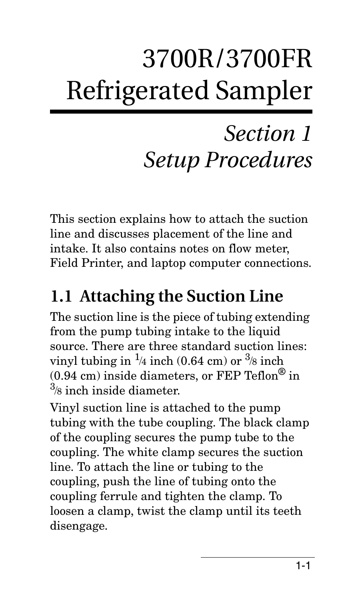# <span id="page-2-0"></span>3700R/3700FR Refrigerated Sampler

# *Section 1 Setup Procedures*

This section explains how to attach the suction line and discusses placement of the line and intake. It also contains notes on flow meter, Field Printer, and laptop computer connections.

# <span id="page-2-1"></span>**1.1 Attaching the Suction Line**

The suction line is the piece of tubing extending from the pump tubing intake to the liquid source. There are three standard suction lines: vinyl tubing in  $\frac{1}{4}$  inch (0.64 cm) or  $\frac{3}{8}$  inch  $(0.94 \text{ cm})$  inside diameters, or FEP Teflon<sup>®</sup> in 3 /8 inch inside diameter.

Vinyl suction line is attached to the pump tubing with the tube coupling. The black clamp of the coupling secures the pump tube to the coupling. The white clamp secures the suction line. To attach the line or tubing to the coupling, push the line of tubing onto the coupling ferrule and tighten the clamp. To loosen a clamp, twist the clamp until its teeth disengage.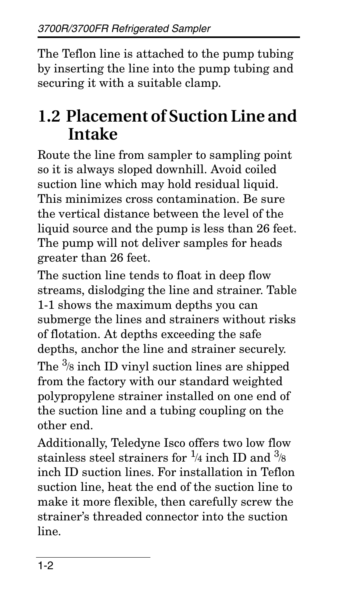The Teflon line is attached to the pump tubing by inserting the line into the pump tubing and securing it with a suitable clamp.

### <span id="page-3-0"></span>**1.2 Placement of Suction Line and Intake**

Route the line from sampler to sampling point so it is always sloped downhill. Avoid coiled suction line which may hold residual liquid. This minimizes cross contamination. Be sure the vertical distance between the level of the liquid source and the pump is less than 26 feet. The pump will not deliver samples for heads greater than 26 feet.

The suction line tends to float in deep flow streams, dislodging the line and strainer. Table 1-1 shows the maximum depths you can submerge the lines and strainers without risks of flotation. At depths exceeding the safe depths, anchor the line and strainer securely. The  $\frac{3}{8}$  inch ID vinyl suction lines are shipped from the factory with our standard weighted polypropylene strainer installed on one end of the suction line and a tubing coupling on the other end.

Additionally, Teledyne Isco offers two low flow stainless steel strainers for  $\frac{1}{4}$  inch ID and  $\frac{3}{8}$ inch ID suction lines. For installation in Teflon suction line, heat the end of the suction line to make it more flexible, then carefully screw the strainer's threaded connector into the suction line.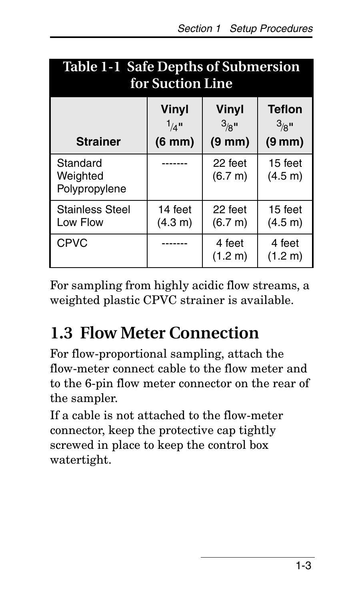| <b>Table 1-1 Safe Depths of Submersion</b><br>for Suction Line |                                                  |                                                  |                                                          |
|----------------------------------------------------------------|--------------------------------------------------|--------------------------------------------------|----------------------------------------------------------|
| <b>Strainer</b>                                                | Vinyl<br>$1/4$ <sup>11</sup><br>$(6 \text{ mm})$ | Vinyl<br>$3/8$ <sup>II</sup><br>$(9 \text{ mm})$ | <b>Teflon</b><br>$3/8$ <sup>II</sup><br>$(9 \text{ mm})$ |
| Standard<br>Weighted<br>Polypropylene                          |                                                  | 22 feet<br>(6.7 m)                               | 15 feet<br>(4.5 m)                                       |
| <b>Stainless Steel</b><br>Low Flow                             | 14 feet<br>(4.3 m)                               | 22 feet<br>(6.7 m)                               | 15 feet<br>(4.5 m)                                       |
| <b>CPVC</b>                                                    |                                                  | 4 feet<br>(1.2 m)                                | 4 feet<br>(1.2 m)                                        |

For sampling from highly acidic flow streams, a weighted plastic CPVC strainer is available.

# <span id="page-4-0"></span>**1.3 Flow Meter Connection**

For flow-proportional sampling, attach the flow-meter connect cable to the flow meter and to the 6-pin flow meter connector on the rear of the sampler.

If a cable is not attached to the flow-meter connector, keep the protective cap tightly screwed in place to keep the control box watertight.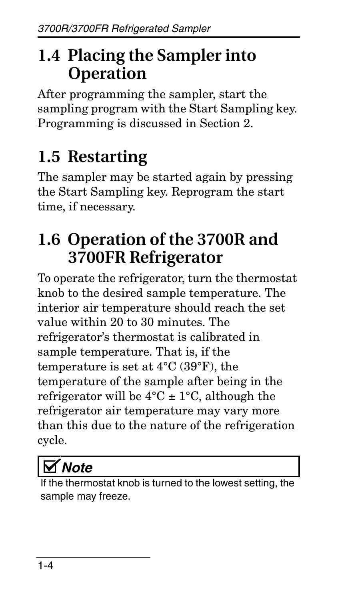# <span id="page-5-0"></span>**1.4 Placing the Sampler into Operation**

After programming the sampler, start the sampling program with the Start Sampling key. Programming is discussed in Section [2](#page-8-2).

# <span id="page-5-1"></span>**1.5 Restarting**

The sampler may be started again by pressing the Start Sampling key. Reprogram the start time, if necessary.

# <span id="page-5-2"></span>**1.6 Operation of the 3700R and 3700FR Refrigerator**

To operate the refrigerator, turn the thermostat knob to the desired sample temperature. The interior air temperature should reach the set value within 20 to 30 minutes. The refrigerator's thermostat is calibrated in sample temperature. That is, if the temperature is set at 4°C (39°F), the temperature of the sample after being in the refrigerator will be  $4^{\circ}$ C  $\pm$  1°C, although the refrigerator air temperature may vary more than this due to the nature of the refrigeration cycle.

# *Note*

If the the thostat knob is turned to the lowest setting, the sample may freeze.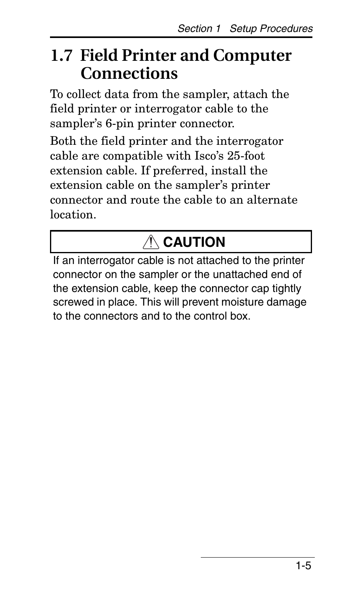## <span id="page-6-0"></span>**1.7 Field Printer and Computer Connections**

To collect data from the sampler, attach the field printer or interrogator cable to the sampler's 6-pin printer connector.

Both the field printer and the interrogator cable are compatible with Isco's 25-foot extension cable. If preferred, install the extension cable on the sampler's printer connector and route the cable to an alternate location.

# **CAUTION**

If an interrogator cable is not attached to the printer connector on the sampler or the unattached end of the extension cable, keep the connector cap tightly screwed in place. This will prevent moisture damage to the connectors and to the control box.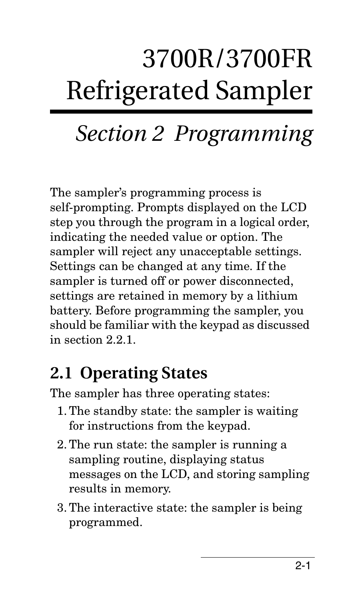# 3700R/3700FR Refrigerated Sampler

# <span id="page-8-2"></span><span id="page-8-0"></span>*Section 2 Programming*

The sampler's programming process is self-prompting. Prompts displayed on the LCD step you through the program in a logical order, indicating the needed value or option. The sampler will reject any unacceptable settings. Settings can be changed at any time. If the sampler is turned off or power disconnected, settings are retained in memory by a lithium battery. Before programming the sampler, you should be familiar with the keypad as discussed in section [2.2.1.](#page-14-0)

# <span id="page-8-1"></span>**2.1 Operating States**

The sampler has three operating states:

- 1. The standby state: the sampler is waiting for instructions from the keypad.
- 2. The run state: the sampler is running a sampling routine, displaying status messages on the LCD, and storing sampling results in memory.
- 3. The interactive state: the sampler is being programmed.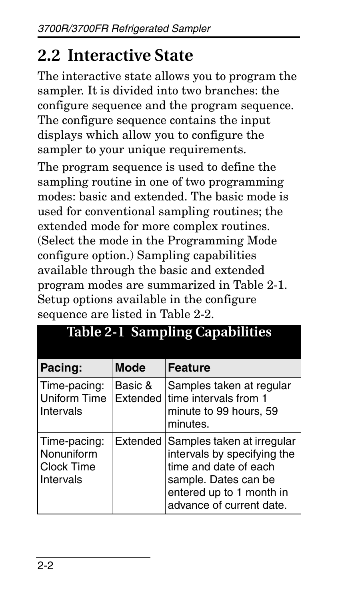# <span id="page-9-0"></span>**2.2 Interactive State**

The interactive state allows you to program the sampler. It is divided into two branches: the configure sequence and the program sequence. The configure sequence contains the input displays which allow you to configure the sampler to your unique requirements.

The program sequence is used to define the sampling routine in one of two programming modes: basic and extended. The basic mode is used for conventional sampling routines; the extended mode for more complex routines. (Select the mode in the Programming Mode configure option.) Sampling capabilities available through the basic and extended program modes are summarized in Table [2-1.](#page-9-1) Setup options available in the configure sequence are listed in Table [2-2.](#page-12-0)

| Pacing:                                               | <b>Mode</b> | <b>Feature</b>                                                                                                                                                              |
|-------------------------------------------------------|-------------|-----------------------------------------------------------------------------------------------------------------------------------------------------------------------------|
| Time-pacing:<br><b>Uniform Time</b><br>Intervals      | Basic &     | Samples taken at regular<br>Extended time intervals from 1<br>minute to 99 hours, 59<br>minutes.                                                                            |
| Time-pacing:<br>Nonuniform<br>Clock Time<br>Intervals |             | Extended Samples taken at irregular<br>intervals by specifying the<br>time and date of each<br>sample. Dates can be<br>entered up to 1 month in<br>advance of current date. |

#### <span id="page-9-1"></span>**Table 2-1 Sampling Capabilities**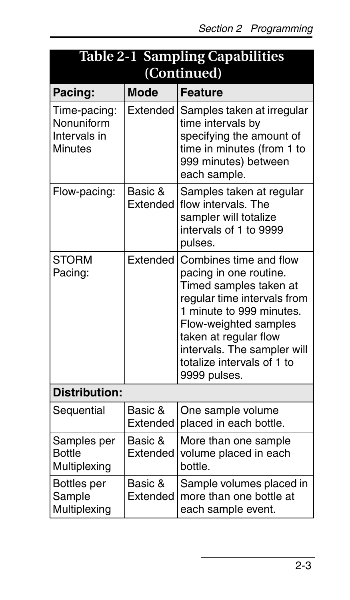| <b>Table 2-1 Sampling Capabilities</b><br>(Continued)        |                     |                                                                                                                                                                                                                                                                      |  |
|--------------------------------------------------------------|---------------------|----------------------------------------------------------------------------------------------------------------------------------------------------------------------------------------------------------------------------------------------------------------------|--|
| Pacing:                                                      | <b>Mode</b>         | <b>Feature</b>                                                                                                                                                                                                                                                       |  |
| Time-pacing:<br>Nonuniform<br>Intervals in<br><b>Minutes</b> | Extended            | Samples taken at irregular<br>time intervals by<br>specifying the amount of<br>time in minutes (from 1 to<br>999 minutes) between<br>each sample.                                                                                                                    |  |
| Flow-pacing:                                                 | Basic &<br>Extended | Samples taken at regular<br>flow intervals. The<br>sampler will totalize<br>intervals of 1 to 9999<br>pulses.                                                                                                                                                        |  |
| <b>STORM</b><br>Pacing:                                      | <b>Fxtended</b>     | Combines time and flow<br>pacing in one routine.<br>Timed samples taken at<br>regular time intervals from<br>1 minute to 999 minutes.<br>Flow-weighted samples<br>taken at regular flow<br>intervals. The sampler will<br>totalize intervals of 1 to<br>9999 pulses. |  |
| <b>Distribution:</b>                                         |                     |                                                                                                                                                                                                                                                                      |  |
| Sequential                                                   | Basic &<br>Extended | One sample volume<br>placed in each bottle.                                                                                                                                                                                                                          |  |
| Samples per<br><b>Bottle</b><br>Multiplexing                 | Basic &<br>Extended | More than one sample<br>volume placed in each<br>hottle.                                                                                                                                                                                                             |  |
| Bottles per<br>Sample<br>Multiplexing                        | Basic &<br>Extended | Sample volumes placed in<br>more than one bottle at<br>each sample event.                                                                                                                                                                                            |  |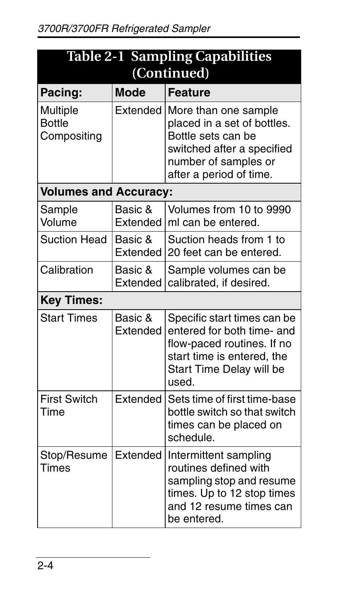| <b>Table 2-1 Sampling Capabilities</b><br>(Continued) |                     |                                                                                                                                                            |  |
|-------------------------------------------------------|---------------------|------------------------------------------------------------------------------------------------------------------------------------------------------------|--|
| Pacing:                                               | <b>Mode</b>         | <b>Feature</b>                                                                                                                                             |  |
| Multiple<br><b>Bottle</b><br>Compositing              | Extended            | More than one sample<br>placed in a set of bottles.<br>Bottle sets can be<br>switched after a specified<br>number of samples or<br>after a period of time. |  |
| <b>Volumes and Accuracy:</b>                          |                     |                                                                                                                                                            |  |
| Sample<br>Volume                                      | Basic &<br>Extended | Volumes from 10 to 9990<br>ml can be entered.                                                                                                              |  |
| Suction Head                                          | Basic &<br>Extended | Suction heads from 1 to<br>20 feet can be entered.                                                                                                         |  |
| Calibration                                           | Basic &<br>Extended | Sample volumes can be<br>calibrated, if desired.                                                                                                           |  |
| <b>Key Times:</b>                                     |                     |                                                                                                                                                            |  |
| <b>Start Times</b>                                    | Basic &<br>Extended | Specific start times can be<br>entered for both time- and<br>flow-paced routines. If no<br>start time is entered, the<br>Start Time Delay will be<br>used. |  |
| <b>First Switch</b><br>Time                           | Extended            | Sets time of first time-base<br>bottle switch so that switch<br>times can be placed on<br>schedule.                                                        |  |
| Stop/Resume<br>Times                                  | Extended            | Intermittent sampling<br>routines defined with<br>sampling stop and resume<br>times. Up to 12 stop times<br>and 12 resume times can<br>be entered.         |  |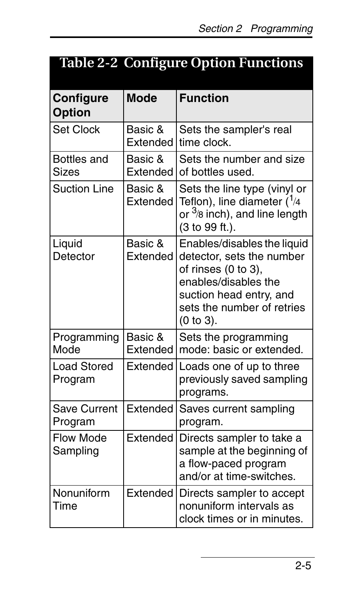<span id="page-12-0"></span>

| <b>Table 2-2 Configure Option Functions</b> |
|---------------------------------------------|
|                                             |

| Configure<br><b>Option</b>     | Mode                       | <b>Function</b>                                                                                                                                                                  |
|--------------------------------|----------------------------|----------------------------------------------------------------------------------------------------------------------------------------------------------------------------------|
| Set Clock                      | Basic &<br>Extended        | Sets the sampler's real<br>time clock.                                                                                                                                           |
| Bottles and<br>Sizes           | Basic &<br><b>Fxtended</b> | Sets the number and size<br>of bottles used.                                                                                                                                     |
| <b>Suction Line</b>            | Basic &<br>Extended        | Sets the line type (vinyl or<br>Teflon), line diameter $(^{1}_{4}$<br>or <sup>3</sup> /8 inch), and line length<br>(3 to 99 ft.).                                                |
| Liguid<br>Detector             | Basic &<br>Extended        | Enables/disables the liquid<br>detector, sets the number<br>of rinses (0 to 3).<br>enables/disables the<br>suction head entry, and<br>sets the number of retries<br>$(0 to 3)$ . |
| Programming<br>Mode            | Basic &<br><b>Fxtended</b> | Sets the programming<br>mode: basic or extended.                                                                                                                                 |
| <b>Load Stored</b><br>Program  | Extended                   | Loads one of up to three<br>previously saved sampling<br>programs.                                                                                                               |
| <b>Save Current</b><br>Program | Extended                   | Saves current sampling<br>program.                                                                                                                                               |
| Flow Mode<br>Sampling          | Extended                   | Directs sampler to take a<br>sample at the beginning of<br>a flow-paced program<br>and/or at time-switches.                                                                      |
| Nonuniform<br>Time             | Extended                   | Directs sampler to accept<br>nonuniform intervals as<br>clock times or in minutes.                                                                                               |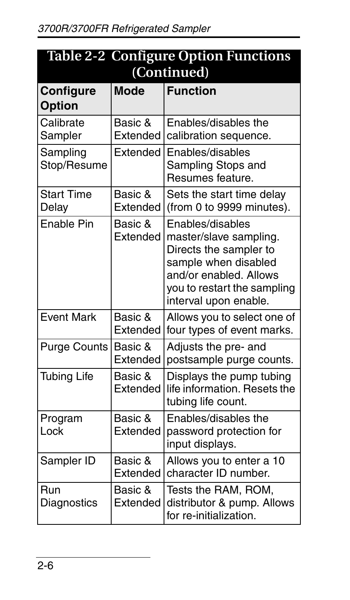| <b>Table 2-2 Configure Option Functions</b> |                            |                                                                                                                                                                                |  |  |
|---------------------------------------------|----------------------------|--------------------------------------------------------------------------------------------------------------------------------------------------------------------------------|--|--|
|                                             | (Continued)                |                                                                                                                                                                                |  |  |
| <b>Configure</b><br><b>Option</b>           | Mode                       | <b>Function</b>                                                                                                                                                                |  |  |
| Calibrate<br>Sampler                        | Basic &<br>Extended        | Enables/disables the<br>calibration sequence.                                                                                                                                  |  |  |
| Sampling<br>Stop/Resume                     | Extended                   | Enables/disables<br>Sampling Stops and<br>Resumes feature.                                                                                                                     |  |  |
| <b>Start Time</b><br>Delay                  | Basic &<br>Extended        | Sets the start time delay<br>(from 0 to 9999 minutes).                                                                                                                         |  |  |
| Fnable Pin                                  | Basic &<br>Extended        | Enables/disables<br>master/slave sampling.<br>Directs the sampler to<br>sample when disabled<br>and/or enabled. Allows<br>you to restart the sampling<br>interval upon enable. |  |  |
| <b>Event Mark</b>                           | Basic &<br>Extended        | Allows you to select one of<br>four types of event marks.                                                                                                                      |  |  |
| Purge Counts                                | Basic &<br>Extended        | Adjusts the pre- and<br>postsample purge counts.                                                                                                                               |  |  |
| <b>Tubing Life</b>                          | Basic &<br><b>Fxtended</b> | Displays the pump tubing<br>life information. Resets the<br>tubing life count.                                                                                                 |  |  |
| Program<br>Lock                             | Basic &<br>Extended        | Enables/disables the<br>password protection for<br>input displays.                                                                                                             |  |  |
| Sampler ID                                  | Basic &<br>Extended        | Allows you to enter a 10<br>character ID number.                                                                                                                               |  |  |
| Run<br>Diagnostics                          | Basic &<br>Extended        | Tests the RAM, ROM,<br>distributor & pump. Allows<br>for re-initialization.                                                                                                    |  |  |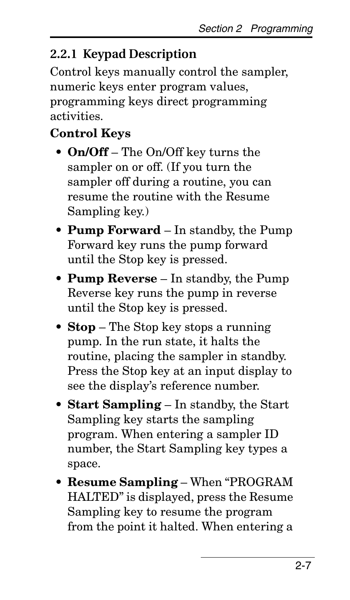#### <span id="page-14-0"></span>**2.2.1 Keypad Description**

Control keys manually control the sampler, numeric keys enter program values, programming keys direct programming activities.

#### **Control Keys**

- **On/Off** The On/Off key turns the sampler on or off. (If you turn the sampler off during a routine, you can resume the routine with the Resume Sampling key.)
- **Pump Forward** In standby, the Pump Forward key runs the pump forward until the Stop key is pressed.
- **Pump Reverse** In standby, the Pump Reverse key runs the pump in reverse until the Stop key is pressed.
- **Stop** The Stop key stops a running pump. In the run state, it halts the routine, placing the sampler in standby. Press the Stop key at an input display to see the display's reference number.
- **Start Sampling** In standby, the Start Sampling key starts the sampling program. When entering a sampler ID number, the Start Sampling key types a space.
- **Resume Sampling** When "PROGRAM HALTED" is displayed, press the Resume Sampling key to resume the program from the point it halted. When entering a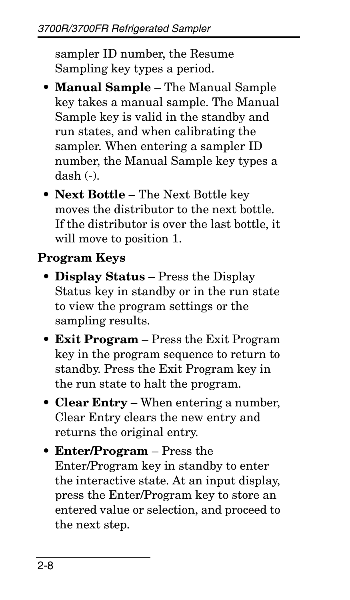sampler ID number, the Resume Sampling key types a period.

- **Manual Sample** The Manual Sample key takes a manual sample. The Manual Sample key is valid in the standby and run states, and when calibrating the sampler. When entering a sampler ID number, the Manual Sample key types a dash (-).
- **Next Bottle** The Next Bottle key moves the distributor to the next bottle. If the distributor is over the last bottle, it will move to position 1.

#### **Program Keys**

- **Display Status** Press the Display Status key in standby or in the run state to view the program settings or the sampling results.
- **Exit Program** Press the Exit Program key in the program sequence to return to standby. Press the Exit Program key in the run state to halt the program.
- **Clear Entry** When entering a number, Clear Entry clears the new entry and returns the original entry.
- **Enter/Program** Press the Enter/Program key in standby to enter the interactive state. At an input display, press the Enter/Program key to store an entered value or selection, and proceed to the next step.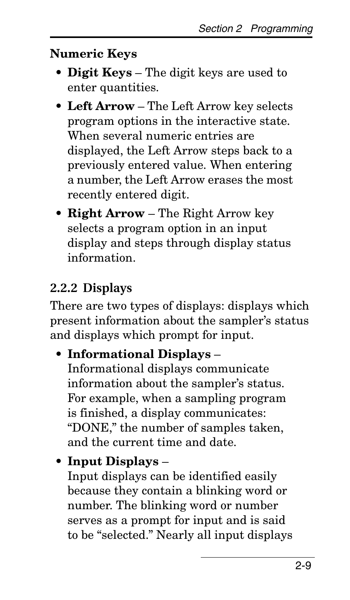#### **Numeric Keys**

- **Digit Keys** The digit keys are used to enter quantities.
- **Left Arrow** The Left Arrow key selects program options in the interactive state. When several numeric entries are displayed, the Left Arrow steps back to a previously entered value. When entering a number, the Left Arrow erases the most recently entered digit.
- **Right Arrow** The Right Arrow key selects a program option in an input display and steps through display status information.

#### <span id="page-16-0"></span>**2.2.2 Displays**

There are two types of displays: displays which present information about the sampler's status and displays which prompt for input.

#### • **Informational Displays** –

Informational displays communicate information about the sampler's status. For example, when a sampling program is finished, a display communicates: "DONE," the number of samples taken, and the current time and date.

#### • **Input Displays** –

Input displays can be identified easily because they contain a blinking word or number. The blinking word or number serves as a prompt for input and is said to be "selected." Nearly all input displays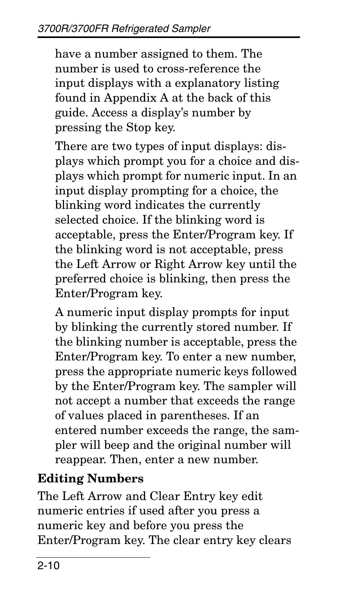have a number assigned to them. The number is used to cross-reference the input displays with a explanatory listing found in Appendix [A](#page-48-1) at the back of this guide. Access a display's number by pressing the Stop key.

There are two types of input displays: displays which prompt you for a choice and displays which prompt for numeric input. In an input display prompting for a choice, the blinking word indicates the currently selected choice. If the blinking word is acceptable, press the Enter/Program key. If the blinking word is not acceptable, press the Left Arrow or Right Arrow key until the preferred choice is blinking, then press the Enter/Program key.

A numeric input display prompts for input by blinking the currently stored number. If the blinking number is acceptable, press the Enter/Program key. To enter a new number, press the appropriate numeric keys followed by the Enter/Program key. The sampler will not accept a number that exceeds the range of values placed in parentheses. If an entered number exceeds the range, the sampler will beep and the original number will reappear. Then, enter a new number.

#### **Editing Numbers**

The Left Arrow and Clear Entry key edit numeric entries if used after you press a numeric key and before you press the Enter/Program key. The clear entry key clears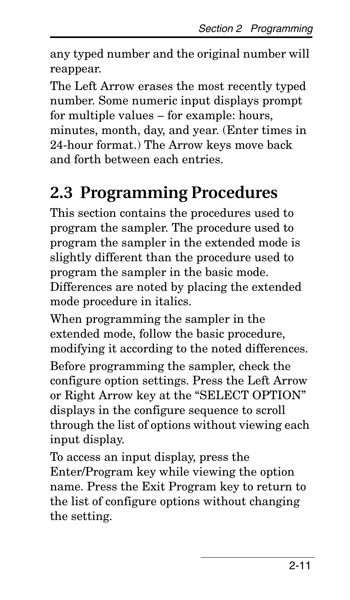any typed number and the original number will reappear.

The Left Arrow erases the most recently typed number. Some numeric input displays prompt for multiple values – for example: hours, minutes, month, day, and year. (Enter times in 24-hour format.) The Arrow keys move back and forth between each entries.

## <span id="page-18-0"></span>**2.3 Programming Procedures**

This section contains the procedures used to program the sampler. The procedure used to program the sampler in the extended mode is slightly different than the procedure used to program the sampler in the basic mode. Differences are noted by placing the extended mode procedure in italics.

When programming the sampler in the extended mode, follow the basic procedure, modifying it according to the noted differences. Before programming the sampler, check the configure option settings. Press the Left Arrow or Right Arrow key at the "SELECT OPTION" displays in the configure sequence to scroll through the list of options without viewing each input display.

To access an input display, press the Enter/Program key while viewing the option name. Press the Exit Program key to return to the list of configure options without changing the setting.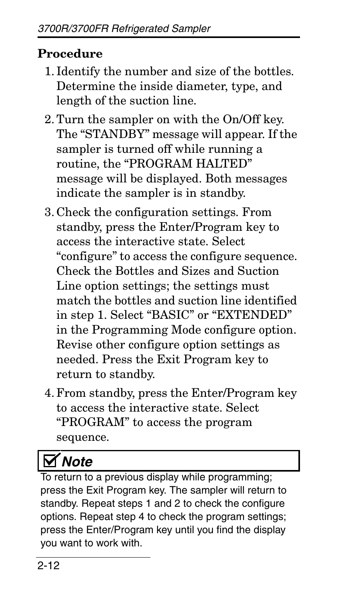#### **Procedure**

- 1. Identify the number and size of the bottles. Determine the inside diameter, type, and length of the suction line.
- 2. Turn the sampler on with the On/Off key. The "STANDBY" message will appear. If the sampler is turned off while running a routine, the "PROGRAM HALTED" message will be displayed. Both messages indicate the sampler is in standby.
- 3. Check the configuration settings. From standby, press the Enter/Program key to access the interactive state. Select "configure" to access the configure sequence. Check the Bottles and Sizes and Suction Line option settings; the settings must match the bottles and suction line identified in step 1. Select "BASIC" or "EXTENDED" in the Programming Mode configure option. Revise other configure option settings as needed. Press the Exit Program key to return to standby.
- 4. From standby, press the Enter/Program key to access the interactive state. Select "PROGRAM" to access the program sequence.

# *Note*

To return to a previous display while programming; press the Exit Program key. The sampler will return to standby. Repeat steps 1 and 2 to check the configure options. Repeat step 4 to check the program settings; press the Enter/Program key until you find the display you want to work with.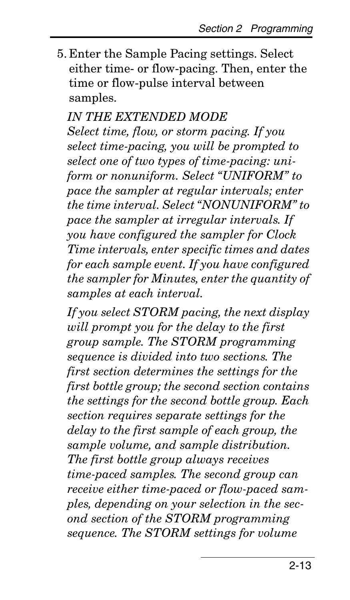5. Enter the Sample Pacing settings. Select either time- or flow-pacing. Then, enter the time or flow-pulse interval between samples.

#### *IN THE EXTENDED MODE*

*Select time, flow, or storm pacing. If you select time-pacing, you will be prompted to select one of two types of time-pacing: uniform or nonuniform. Select "UNIFORM" to pace the sampler at regular intervals; enter the time interval. Select "NONUNIFORM" to pace the sampler at irregular intervals. If you have configured the sampler for Clock Time intervals, enter specific times and dates for each sample event. If you have configured the sampler for Minutes, enter the quantity of samples at each interval.*

*If you select STORM pacing, the next display will prompt you for the delay to the first group sample. The STORM programming sequence is divided into two sections. The first section determines the settings for the first bottle group; the second section contains the settings for the second bottle group. Each section requires separate settings for the delay to the first sample of each group, the sample volume, and sample distribution. The first bottle group always receives time-paced samples. The second group can receive either time-paced or flow-paced samples, depending on your selection in the second section of the STORM programming sequence. The STORM settings for volume*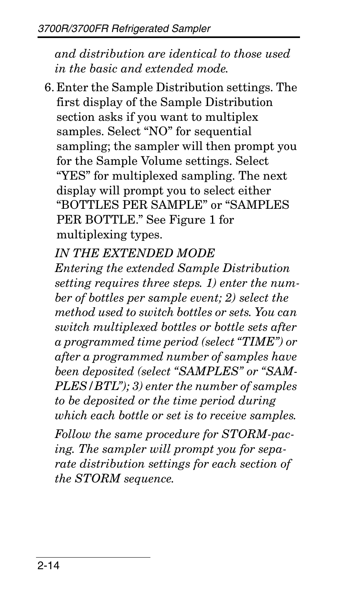*and distribution are identical to those used in the basic and extended mode.* 

- 6. Enter the Sample Distribution settings. The first display of the Sample Distribution section asks if you want to multiplex samples. Select "NO" for sequential sampling; the sampler will then prompt you for the Sample Volume settings. Select "YES" for multiplexed sampling. The next display will prompt you to select either "BOTTLES PER SAMPLE" or "SAMPLES PER BOTTLE." See Figure 1 for multiplexing types.
	- *IN THE EXTENDED MODE*

*Entering the extended Sample Distribution setting requires three steps. 1) enter the number of bottles per sample event; 2) select the method used to switch bottles or sets. You can switch multiplexed bottles or bottle sets after a programmed time period (select "TIME") or after a programmed number of samples have been deposited (select "SAMPLES" or "SAM-PLES/BTL"); 3) enter the number of samples to be deposited or the time period during which each bottle or set is to receive samples.* 

*Follow the same procedure for STORM-pacing. The sampler will prompt you for separate distribution settings for each section of the STORM sequence.*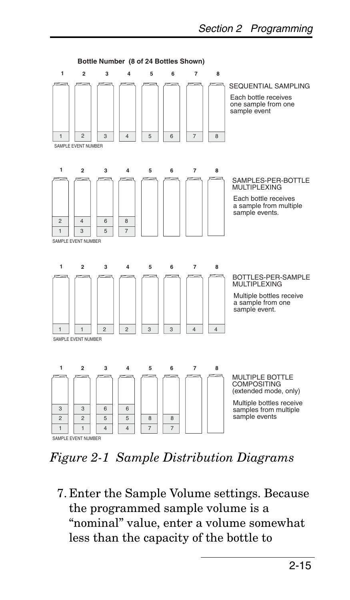

*Figure 2-1 Sample Distribution Diagrams*

7. Enter the Sample Volume settings. Because the programmed sample volume is a "nominal" value, enter a volume somewhat less than the capacity of the bottle to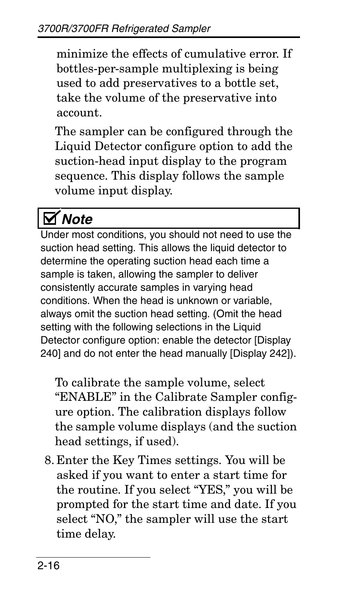minimize the effects of cumulative error. If bottles-per-sample multiplexing is being used to add preservatives to a bottle set, take the volume of the preservative into account.

The sampler can be configured through the Liquid Detector configure option to add the suction-head input display to the program sequence. This display follows the sample volume input display.

# *Note*

Under most conditions, you should not need to use the suction head setting. This allows the liquid detector to determine the operating suction head each time a sample is taken, allowing the sampler to deliver consistently accurate samples in varying head conditions. When the head is unknown or variable, always omit the suction head setting. (Omit the head setting with the following selections in the Liquid Detector configure option: enable the detector [Display 240] and do not enter the head manually [Display 242]).

To calibrate the sample volume, select "ENABLE" in the Calibrate Sampler configure option. The calibration displays follow the sample volume displays (and the suction head settings, if used).

8. Enter the Key Times settings. You will be asked if you want to enter a start time for the routine. If you select "YES," you will be prompted for the start time and date. If you select "NO," the sampler will use the start time delay.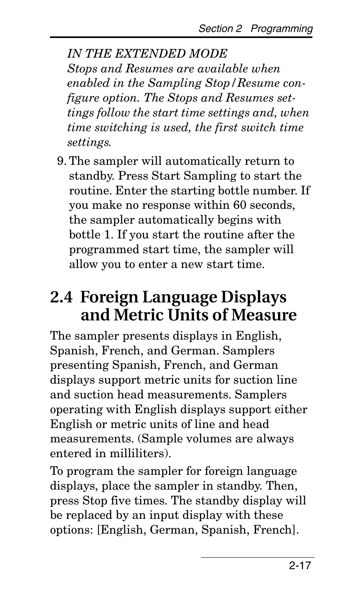*IN THE EXTENDED MODE Stops and Resumes are available when enabled in the Sampling Stop/Resume configure option. The Stops and Resumes settings follow the start time settings and, when time switching is used, the first switch time settings.*

9. The sampler will automatically return to standby. Press Start Sampling to start the routine. Enter the starting bottle number. If you make no response within 60 seconds, the sampler automatically begins with bottle 1. If you start the routine after the programmed start time, the sampler will allow you to enter a new start time.

## <span id="page-24-0"></span>**2.4 Foreign Language Displays and Metric Units of Measure**

The sampler presents displays in English, Spanish, French, and German. Samplers presenting Spanish, French, and German displays support metric units for suction line and suction head measurements. Samplers operating with English displays support either English or metric units of line and head measurements. (Sample volumes are always entered in milliliters).

To program the sampler for foreign language displays, place the sampler in standby. Then, press Stop five times. The standby display will be replaced by an input display with these options: [English, German, Spanish, French].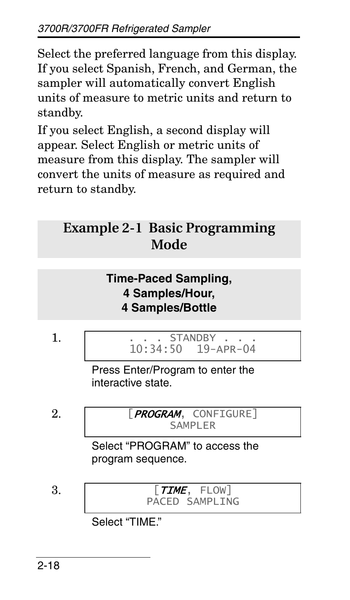Select the preferred language from this display. If you select Spanish, French, and German, the sampler will automatically convert English units of measure to metric units and return to standby.

If you select English, a second display will appear. Select English or metric units of measure from this display. The sampler will convert the units of measure as required and return to standby.

#### **Example 2-1 Basic Programming Mode**

#### **Time-Paced Sampling, 4 Samples/Hour, 4 Samples/Bottle**

1. . . . STANDBY . . . 10:34:50 19-APR-04 Press Enter/Program to enter the interactive state. 2. [PROGRAM, CONFIGURE] SAMPLER Select "PROGRAM" to access the program sequence. 3. [TIME, FLOW] PACED SAMPLING

Select "TIME."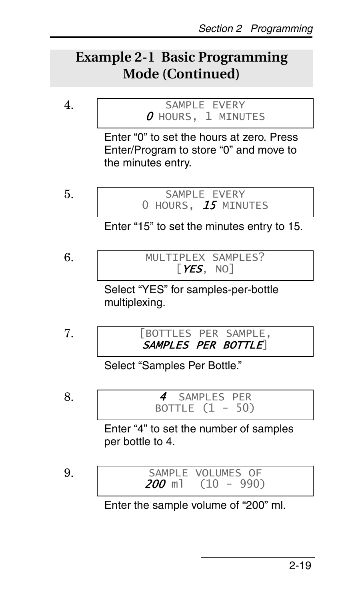#### **Example 2-1 Basic Programming Mode (Continued)**

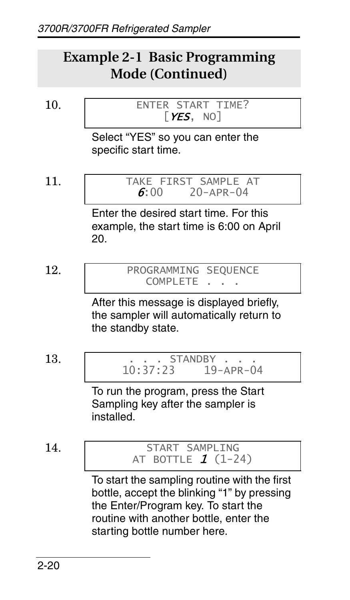#### **Example 2-1 Basic Programming Mode (Continued)**

10. ENTER START TIME? 
$$
[YES, NO]
$$

Select "YES" so you can enter the specific start time.

$$
11.
$$

TAKE FIRST SAMPLE AT<br> $6.00$   $20-APR-04$  $70 - \Delta PR - 04$ 

Enter the desired start time. For this example, the start time is 6:00 on April 20.

$$
12.
$$

PROGRAMMING SEQUENCE COMPLETE . . .

After this message is displayed briefly, the sampler will automatically return to the standby state.

$$
13.
$$

13. . . . STANDBY . . .  $19-APR-04$ 

To run the program, press the Start Sampling key after the sampler is installed.

#### 14. START SAMPLING AT BOTTLE  $1 (1-24)$

To start the sampling routine with the first bottle, accept the blinking "1" by pressing the Enter/Program key. To start the routine with another bottle, enter the starting bottle number here.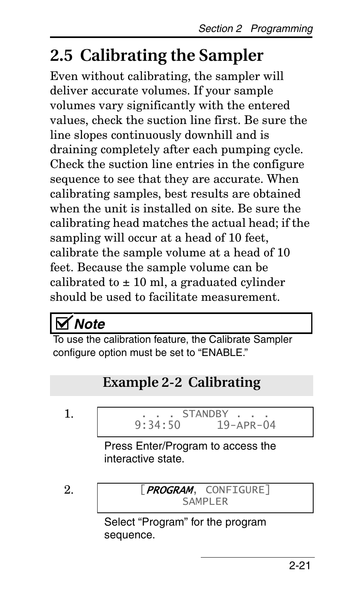# <span id="page-28-0"></span>**2.5 Calibrating the Sampler**

Even without calibrating, the sampler will deliver accurate volumes. If your sample volumes vary significantly with the entered values, check the suction line first. Be sure the line slopes continuously downhill and is draining completely after each pumping cycle. Check the suction line entries in the configure sequence to see that they are accurate. When calibrating samples, best results are obtained when the unit is installed on site. Be sure the calibrating head matches the actual head; if the sampling will occur at a head of 10 feet, calibrate the sample volume at a head of 10 feet. Because the sample volume can be calibrated to  $\pm$  10 ml, a graduated cylinder should be used to facilitate measurement.

# *Note*

To use the calibration feature, the Calibrate Sampler configure option must be set to "ENABLE."

### **Example 2-2 Calibrating** 1.  $9:34:50$  19 19-APR-04 Press Enter/Program to access the interactive state. 2. **FROGRAM**, CONFIGURE] SAMPLER Select "Program" for the program sequence.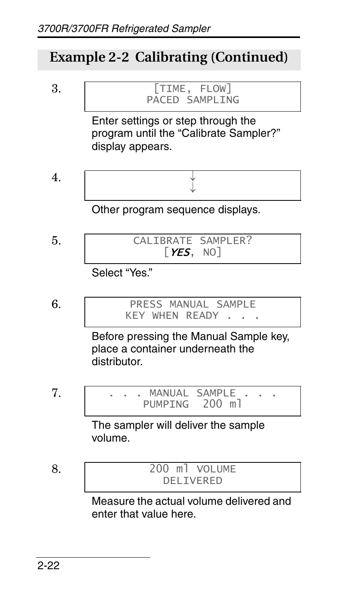#### **Example 2-2 Calibrating (Continued)**



enter that value here.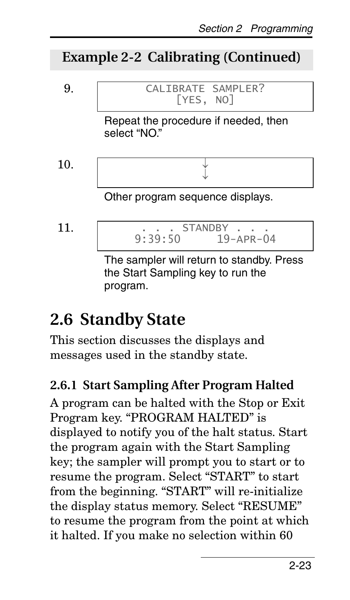#### **Example 2-2 Calibrating (Continued)**



## <span id="page-30-0"></span>**2.6 Standby State**

This section discusses the displays and messages used in the standby state.

#### **2.6.1 Start Sampling After Program Halted**

A program can be halted with the Stop or Exit Program key. "PROGRAM HALTED" is displayed to notify you of the halt status. Start the program again with the Start Sampling key; the sampler will prompt you to start or to resume the program. Select "START" to start from the beginning. "START" will re-initialize the display status memory. Select "RESUME" to resume the program from the point at which it halted. If you make no selection within 60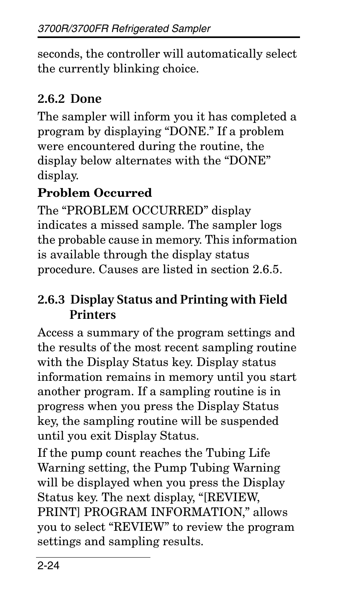seconds, the controller will automatically select the currently blinking choice.

#### **2.6.2 Done**

The sampler will inform you it has completed a program by displaying "DONE." If a problem were encountered during the routine, the display below alternates with the "DONE" display.

#### **Problem Occurred**

The "PROBLEM OCCURRED" display indicates a missed sample. The sampler logs the probable cause in memory. This information is available through the display status procedure. Causes are listed in section [2.6.5](#page-34-0).

#### **2.6.3 Display Status and Printing with Field Printers**

Access a summary of the program settings and the results of the most recent sampling routine with the Display Status key. Display status information remains in memory until you start another program. If a sampling routine is in progress when you press the Display Status key, the sampling routine will be suspended until you exit Display Status.

If the pump count reaches the Tubing Life Warning setting, the Pump Tubing Warning will be displayed when you press the Display Status key. The next display, "[REVIEW, PRINT] PROGRAM INFORMATION," allows you to select "REVIEW" to review the program settings and sampling results.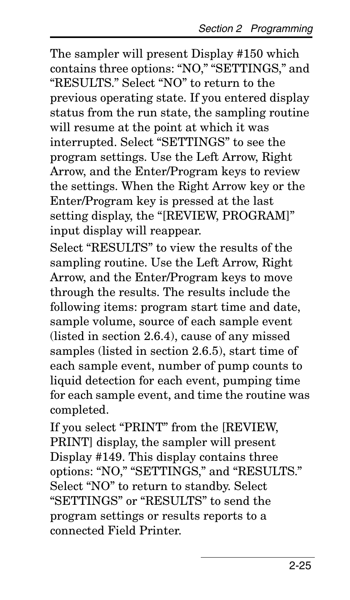The sampler will present Display #150 which contains three options: "NO," "SETTINGS," and "RESULTS." Select "NO" to return to the previous operating state. If you entered display status from the run state, the sampling routine will resume at the point at which it was interrupted. Select "SETTINGS" to see the program settings. Use the Left Arrow, Right Arrow, and the Enter/Program keys to review the settings. When the Right Arrow key or the Enter/Program key is pressed at the last setting display, the "[REVIEW, PROGRAM]" input display will reappear.

Select "RESULTS" to view the results of the sampling routine. Use the Left Arrow, Right Arrow, and the Enter/Program keys to move through the results. The results include the following items: program start time and date, sample volume, source of each sample event (listed in section [2.6.4\)](#page-33-0), cause of any missed samples (listed in section [2.6.5](#page-34-0)), start time of each sample event, number of pump counts to liquid detection for each event, pumping time for each sample event, and time the routine was completed.

If you select "PRINT" from the [REVIEW, PRINT] display, the sampler will present Display #149. This display contains three options: "NO," "SETTINGS," and "RESULTS." Select "NO" to return to standby. Select "SETTINGS" or "RESULTS" to send the program settings or results reports to a connected Field Printer.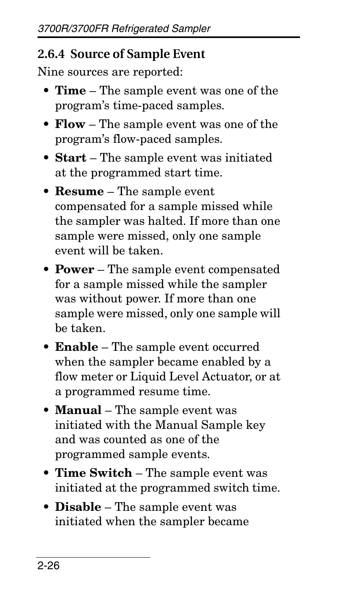#### <span id="page-33-0"></span>**2.6.4 Source of Sample Event**

Nine sources are reported:

- **Time** The sample event was one of the program's time-paced samples.
- **Flow** The sample event was one of the program's flow-paced samples.
- **Start** The sample event was initiated at the programmed start time.
- **Resume** The sample event compensated for a sample missed while the sampler was halted. If more than one sample were missed, only one sample event will be taken.
- **Power** The sample event compensated for a sample missed while the sampler was without power. If more than one sample were missed, only one sample will be taken.
- **Enable** The sample event occurred when the sampler became enabled by a flow meter or Liquid Level Actuator, or at a programmed resume time.
- **Manual** The sample event was initiated with the Manual Sample key and was counted as one of the programmed sample events.
- **Time Switch** The sample event was initiated at the programmed switch time.
- **Disable** The sample event was initiated when the sampler became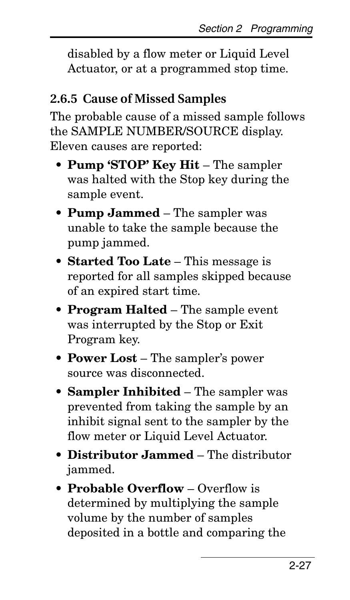disabled by a flow meter or Liquid Level Actuator, or at a programmed stop time.

#### <span id="page-34-0"></span>**2.6.5 Cause of Missed Samples**

The probable cause of a missed sample follows the SAMPLE NUMBER/SOURCE display. Eleven causes are reported:

- **Pump 'STOP' Key Hit**  The sampler was halted with the Stop key during the sample event.
- **Pump Jammed** The sampler was unable to take the sample because the pump jammed.
- **Started Too Late** This message is reported for all samples skipped because of an expired start time.
- **Program Halted** The sample event was interrupted by the Stop or Exit Program key.
- **Power Lost** The sampler's power source was disconnected.
- **Sampler Inhibited** The sampler was prevented from taking the sample by an inhibit signal sent to the sampler by the flow meter or Liquid Level Actuator.
- **Distributor Jammed** The distributor jammed.
- **Probable Overflow** Overflow is determined by multiplying the sample volume by the number of samples deposited in a bottle and comparing the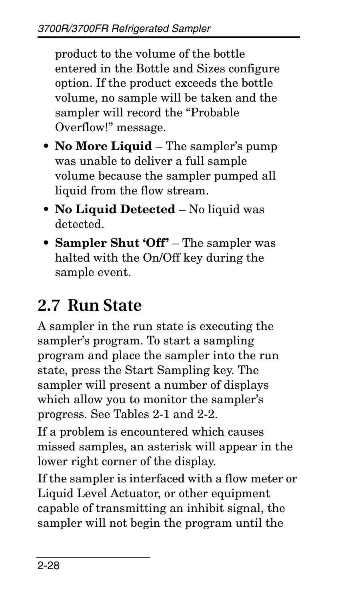product to the volume of the bottle entered in the Bottle and Sizes configure option. If the product exceeds the bottle volume, no sample will be taken and the sampler will record the "Probable Overflow!" message.

- **No More Liquid** The sampler's pump was unable to deliver a full sample volume because the sampler pumped all liquid from the flow stream.
- **No Liquid Detected** No liquid was detected.
- **Sampler Shut 'Off'** The sampler was halted with the On/Off key during the sample event.

# <span id="page-35-0"></span>**2.7 Run State**

A sampler in the run state is executing the sampler's program. To start a sampling program and place the sampler into the run state, press the Start Sampling key. The sampler will present a number of displays which allow you to monitor the sampler's progress. See Tables [2-1](#page-9-1) and [2-2](#page-12-0).

If a problem is encountered which causes missed samples, an asterisk will appear in the lower right corner of the display.

If the sampler is interfaced with a flow meter or Liquid Level Actuator, or other equipment capable of transmitting an inhibit signal, the sampler will not begin the program until the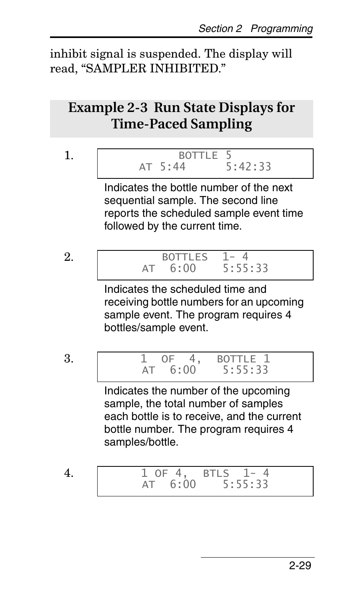inhibit signal is suspended. The display will read, "SAMPLER INHIBITED."

# **Example 2-3 Run State Displays for Time-Paced Sampling**

#### 1. BOTTLE 5<br>AT 5:44 5:42:33  $AT 5:44$

Indicates the bottle number of the next sequential sample. The second line reports the scheduled sample event time followed by the current time.

2. BOTTLES 1-4<br>AT 6:00 5:55:33  $AT = 6:00$ 

> Indicates the scheduled time and receiving bottle numbers for an upcoming sample event. The program requires 4 bottles/sample event.

3. 1 OF 4, BOTTLE 1 AT 6:00 5:55:33

Indicates the number of the upcoming sample, the total number of samples each bottle is to receive, and the current bottle number. The program requires 4 samples/bottle.

4. 1 OF 4, BTLS 1- 4 AT 6:00 5:55:33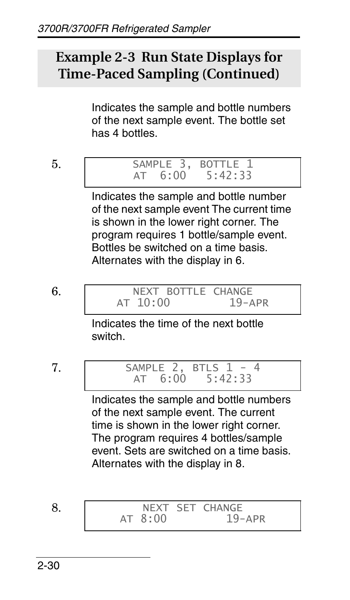## **Example 2-3 Run State Displays for Time-Paced Sampling (Continued)**

Indicates the sample and bottle numbers of the next sample event. The bottle set has 4 bottles.

$$
5.
$$

SAMPLE 3, BOTTLE 1<br>AT 6:00 5:42:33  $AT 6:00$ 

Indicates the sample and bottle number of the next sample event The current time is shown in the lower right corner. The program requires 1 bottle/sample event. Bottles be switched on a time basis. Alternates with the display in 6.

6. NEXT BOTTLE CHANGE<br>AT 10:00 19-APR  $AT 10:00$ 

> Indicates the time of the next bottle switch.

7. SAMPLE 2, BTLS 1 - 4<br>AT 6:00 5:42:33  $5:42:33$ 

> Indicates the sample and bottle numbers of the next sample event. The current time is shown in the lower right corner. The program requires 4 bottles/sample event. Sets are switched on a time basis. Alternates with the display in 8.

8. NEXT SET CHANGE<br>AT 8:00 19-APR  $AT 8:00$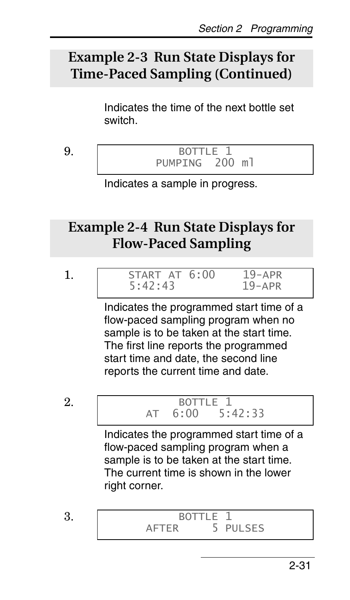# **Example 2-3 Run State Displays for Time-Paced Sampling (Continued)**

Indicates the time of the next bottle set switch.

9. BOTTLE 1<br>PUMPTNG 200 ml PUMPTNG

Indicates a sample in progress.

## **Example 2-4 Run State Displays for Flow-Paced Sampling**

|  | - |  |
|--|---|--|

START AT 6:00 19-APR<br>5:42:43 19-APR  $5:42:43$ 

Indicates the programmed start time of a flow-paced sampling program when no sample is to be taken at the start time. The first line reports the programmed start time and date, the second line reports the current time and date.

2. BOTTLE 1<br>AT 6:00 5:  $6:00$   $5:42:33$ 

> Indicates the programmed start time of a flow-paced sampling program when a sample is to be taken at the start time. The current time is shown in the lower right corner.

3. BOTTLE 1<br>AFTER 5 P 5 PULSES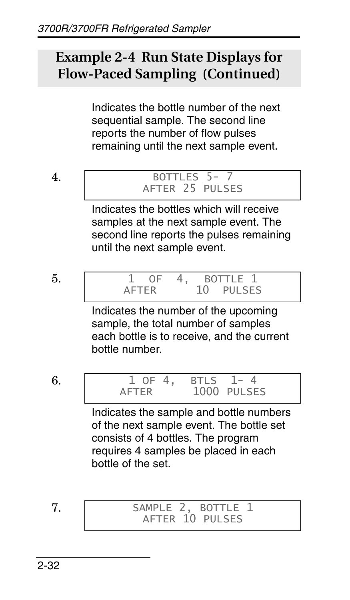# **Example 2-4 Run State Displays for Flow-Paced Sampling (Continued)**

Indicates the bottle number of the next sequential sample. The second line reports the number of flow pulses remaining until the next sample event.

$$
4.
$$

#### 4. BOTTLES 5- 7 AFTER 25 PULSES

Indicates the bottles which will receive samples at the next sample event. The second line reports the pulses remaining until the next sample event.

$$
5.
$$

1 OF 4, BOTTLE 1<br>AFTER 10 PULSE PULSES

Indicates the number of the upcoming sample, the total number of samples each bottle is to receive, and the current bottle number.

$$
6. \quad
$$

1 OF 4, BTLS 1-4<br>AFTER 1000 PULSE 1000 PULSES

Indicates the sample and bottle numbers of the next sample event. The bottle set consists of 4 bottles. The program requires 4 samples be placed in each bottle of the set.

7. SAMPLE 2, BOTTLE 1 AFTER 10 PULSES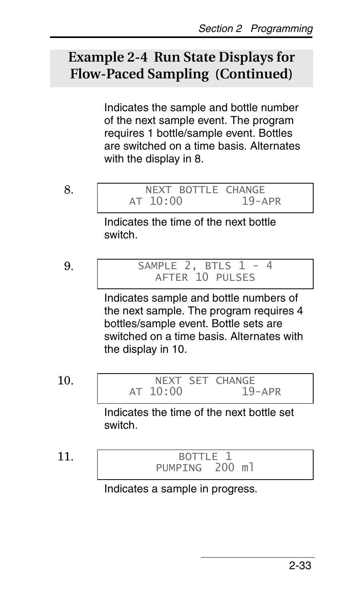## **Example 2-4 Run State Displays for Flow-Paced Sampling (Continued)**

Indicates the sample and bottle number of the next sample event. The program requires 1 bottle/sample event. Bottles are switched on a time basis. Alternates with the display in 8.

$$
8. \,
$$

NEXT BOTTLE CHANGE<br>10:00 19-APR  $AT 10:00$ 

Indicates the time of the next bottle switch.

$$
9. \,
$$

SAMPLE 2, BTLS  $\overline{1}$  - 4 AFTER 10 PULSES

Indicates sample and bottle numbers of the next sample. The program requires 4 bottles/sample event. Bottle sets are switched on a time basis. Alternates with the display in 10.

10. NEXT SET CHANGE<br>AT 10:00 19-APR AT  $10:00$ 

> Indicates the time of the next bottle set switch.

11. BOTTLE 1<br>PUMPING 200 ml PUMPING

Indicates a sample in progress.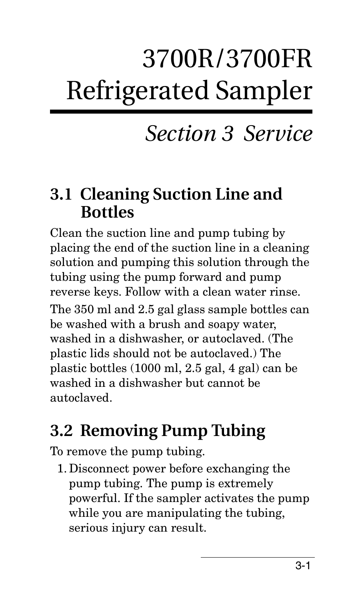# 3700R/3700FR Refrigerated Sampler

# *Section 3 Service*

# **3.1 Cleaning Suction Line and Bottles**

Clean the suction line and pump tubing by placing the end of the suction line in a cleaning solution and pumping this solution through the tubing using the pump forward and pump reverse keys. Follow with a clean water rinse. The 350 ml and 2.5 gal glass sample bottles can be washed with a brush and soapy water, washed in a dishwasher, or autoclaved. (The plastic lids should not be autoclaved.) The plastic bottles (1000 ml, 2.5 gal, 4 gal) can be washed in a dishwasher but cannot be autoclaved.

# **3.2 Removing Pump Tubing**

To remove the pump tubing.

1. Disconnect power before exchanging the pump tubing. The pump is extremely powerful. If the sampler activates the pump while you are manipulating the tubing, serious injury can result.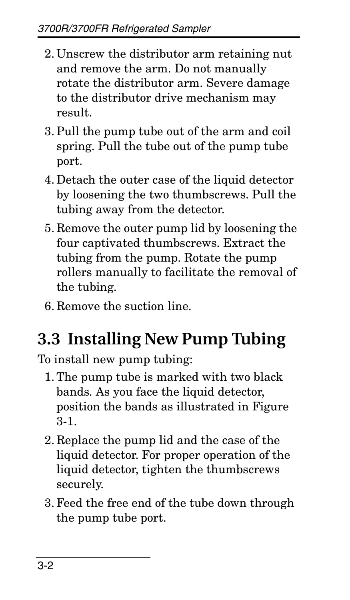- 2. Unscrew the distributor arm retaining nut and remove the arm. Do not manually rotate the distributor arm. Severe damage to the distributor drive mechanism may result.
- 3. Pull the pump tube out of the arm and coil spring. Pull the tube out of the pump tube port.
- 4. Detach the outer case of the liquid detector by loosening the two thumbscrews. Pull the tubing away from the detector.
- 5. Remove the outer pump lid by loosening the four captivated thumbscrews. Extract the tubing from the pump. Rotate the pump rollers manually to facilitate the removal of the tubing.
- 6. Remove the suction line.

# **3.3 Installing New Pump Tubing**

To install new pump tubing:

- 1. The pump tube is marked with two black bands. As you face the liquid detector, position the bands as illustrated in Figure [3-1](#page-44-0).
- 2. Replace the pump lid and the case of the liquid detector. For proper operation of the liquid detector, tighten the thumbscrews securely.
- 3. Feed the free end of the tube down through the pump tube port.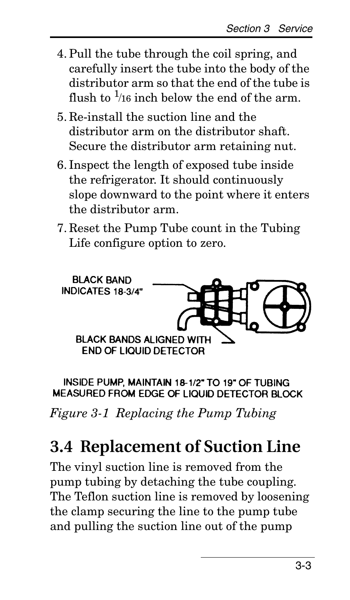- 4. Pull the tube through the coil spring, and carefully insert the tube into the body of the distributor arm so that the end of the tube is flush to  $\frac{1}{16}$  inch below the end of the arm.
- 5. Re-install the suction line and the distributor arm on the distributor shaft. Secure the distributor arm retaining nut.
- 6. Inspect the length of exposed tube inside the refrigerator. It should continuously slope downward to the point where it enters the distributor arm.
- 7. Reset the Pump Tube count in the Tubing Life configure option to zero.



INSIDE PUMP. MAINTAIN 18-1/2" TO 19" OF TUBING MEASURED FROM EDGE OF LIQUID DETECTOR BLOCK

<span id="page-44-0"></span>*Figure 3-1 Replacing the Pump Tubing*

# **3.4 Replacement of Suction Line**

The vinyl suction line is removed from the pump tubing by detaching the tube coupling. The Teflon suction line is removed by loosening the clamp securing the line to the pump tube and pulling the suction line out of the pump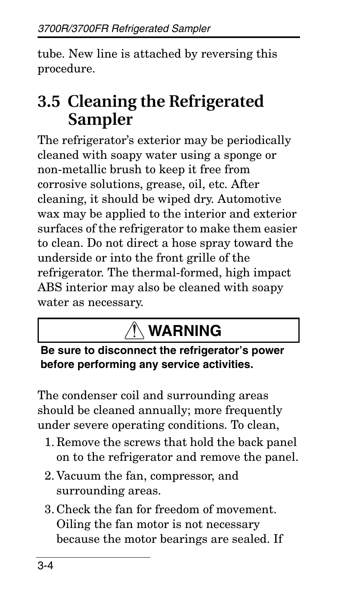tube. New line is attached by reversing this procedure.

# **3.5 Cleaning the Refrigerated Sampler**

The refrigerator's exterior may be periodically cleaned with soapy water using a sponge or non-metallic brush to keep it free from corrosive solutions, grease, oil, etc. After cleaning, it should be wiped dry. Automotive wax may be applied to the interior and exterior surfaces of the refrigerator to make them easier to clean. Do not direct a hose spray toward the underside or into the front grille of the refrigerator. The thermal-formed, high impact ABS interior may also be cleaned with soapy water as necessary.

# **WARNING**

## **Be sure to disconnect the refrigerator's power before performing any service activities.**

The condenser coil and surrounding areas should be cleaned annually; more frequently under severe operating conditions. To clean,

- 1. Remove the screws that hold the back panel on to the refrigerator and remove the panel.
- 2. Vacuum the fan, compressor, and surrounding areas.
- 3. Check the fan for freedom of movement. Oiling the fan motor is not necessary because the motor bearings are sealed. If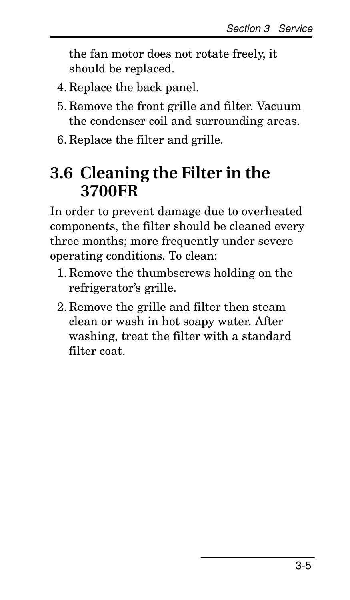the fan motor does not rotate freely, it should be replaced.

- 4. Replace the back panel.
- 5. Remove the front grille and filter. Vacuum the condenser coil and surrounding areas.
- 6. Replace the filter and grille.

# **3.6 Cleaning the Filter in the 3700FR**

In order to prevent damage due to overheated components, the filter should be cleaned every three months; more frequently under severe operating conditions. To clean:

- 1. Remove the thumbscrews holding on the refrigerator's grille.
- 2. Remove the grille and filter then steam clean or wash in hot soapy water. After washing, treat the filter with a standard filter coat.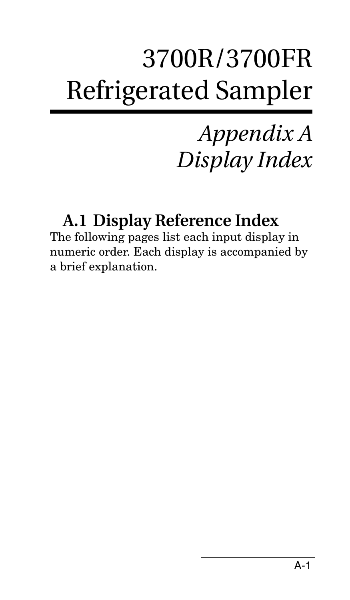# 3700R/3700FR Refrigerated Sampler

# *Appendix A Display Index*

# **A.1 Display Reference Index**

The following pages list each input display in numeric order. Each display is accompanied by a brief explanation.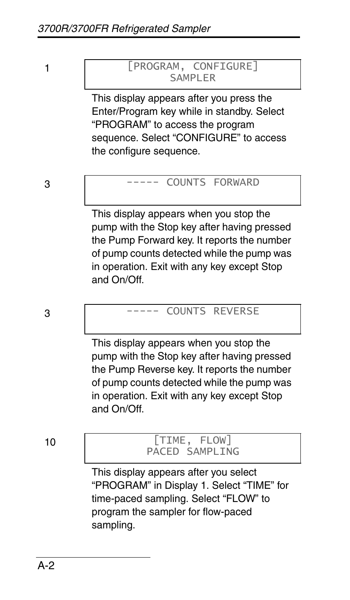#### 1 [PROGRAM, CONFIGURE] SAMPI FR

This display appears after you press the Enter/Program key while in standby. Select "PROGRAM" to access the program sequence. Select "CONFIGURE" to access the configure sequence.

#### 3 ----- COUNTS FORWARD

This display appears when you stop the pump with the Stop key after having pressed the Pump Forward key. It reports the number of pump counts detected while the pump was in operation. Exit with any key except Stop and On/Off.

### 3 ----- COUNTS REVERSE

This display appears when you stop the pump with the Stop key after having pressed the Pump Reverse key. It reports the number of pump counts detected while the pump was in operation. Exit with any key except Stop and On/Off.

#### 10 [TIME, FLOW] PACED SAMPLING

This display appears after you select "PROGRAM" in Display 1. Select "TIME" for time-paced sampling. Select "FLOW" to program the sampler for flow-paced sampling.

A-2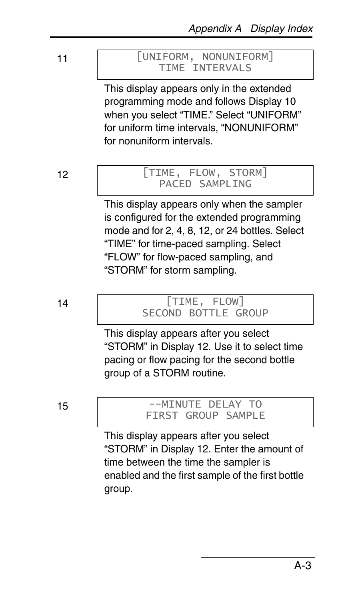#### 11 [UNIFORM, NONUNIFORM] TIME INTERVALS

This display appears only in the extended programming mode and follows Display 10 when you select "TIME." Select "UNIFORM" for uniform time intervals, "NONUNIFORM" for nonuniform intervals.

#### 12 [TIME, FLOW, STORM] PACED SAMPLING

This display appears only when the sampler is configured for the extended programming mode and for 2, 4, 8, 12, or 24 bottles. Select "TIME" for time-paced sampling. Select "FLOW" for flow-paced sampling, and "STORM" for storm sampling.

#### 14 [TIME, FLOW] SECOND BOTTLE GROUP

This display appears after you select "STORM" in Display 12. Use it to select time pacing or flow pacing for the second bottle group of a STORM routine.

15 -- MINUTE DELAY TO FIRST GROUP SAMPLE

> This display appears after you select "STORM" in Display 12. Enter the amount of time between the time the sampler is enabled and the first sample of the first bottle group.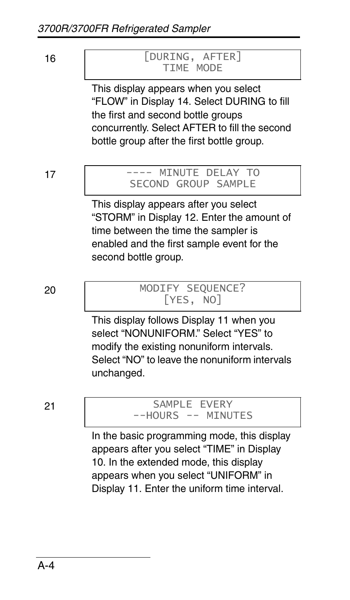#### 16 [DURING, AFTER] TIME MODE

This display appears when you select "FLOW" in Display 14. Select DURING to fill the first and second bottle groups concurrently. Select AFTER to fill the second bottle group after the first bottle group.

#### 17 | ---- MINUTE DELAY TO SECOND GROUP SAMPLE

This display appears after you select "STORM" in Display 12. Enter the amount of time between the time the sampler is enabled and the first sample event for the second bottle group.

#### 20 MODIFY SEQUENCE? [YES, NO]

This display follows Display 11 when you select "NONUNIFORM." Select "YES" to modify the existing nonuniform intervals. Select "NO" to leave the nonuniform intervals unchanged.

#### 21 SAMPLE EVERY --HOURS -- MINUTES

In the basic programming mode, this display appears after you select "TIME" in Display 10. In the extended mode, this display appears when you select "UNIFORM" in Display 11. Enter the uniform time interval.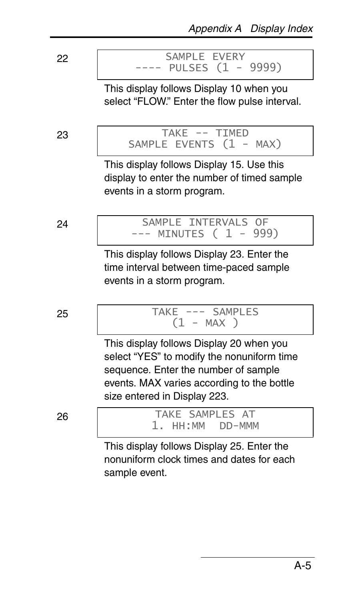22 SAMPLE EVERY PULSES (1 - 9999)

> This display follows Display 10 when you select "FLOW." Enter the flow pulse interval.

23 TAKE -- TIMED SAMPLE EVENTS (1 - MAX)

> This display follows Display 15. Use this display to enter the number of timed sample events in a storm program.

24 | SAMPLE INTERVALS OF --- MINUTES ( 1 - 999)

> This display follows Display 23. Enter the time interval between time-paced sample events in a storm program.

25 TAKE --- SAMPLES  $(1 - MAX)$ 

> This display follows Display 20 when you select "YES" to modify the nonuniform time sequence. Enter the number of sample events. MAX varies according to the bottle size entered in Display 223.

26 TAKE SAMPLES AT 1. HH:MM DD-MMM  $1.$  HH:MM

> This display follows Display 25. Enter the nonuniform clock times and dates for each sample event.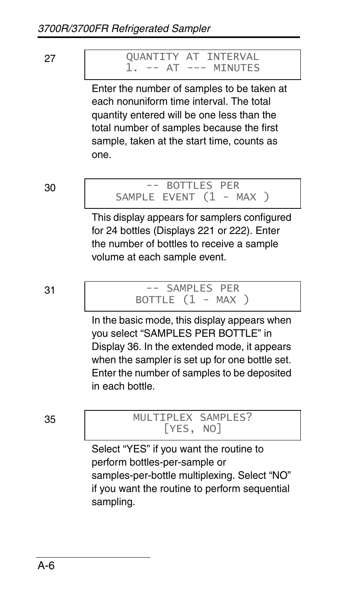#### 27 QUANTITY AT INTERVAL -- AT --- MINUTES

Enter the number of samples to be taken at each nonuniform time interval. The total quantity entered will be one less than the total number of samples because the first sample, taken at the start time, counts as one.

#### 30 -- BOTTLES PER SAMPLE EVENT  $(1 - MAX)$

This display appears for samplers configured for 24 bottles (Displays 221 or 222). Enter the number of bottles to receive a sample volume at each sample event.

#### 31 -- SAMPLES PER BOTTLE  $(1 - MAX)$

In the basic mode, this display appears when you select "SAMPLES PER BOTTLE" in Display 36. In the extended mode, it appears when the sampler is set up for one bottle set. Enter the number of samples to be deposited in each bottle.

### 35 MULTIPLEX SAMPLES? [YES, NO]

Select "YES" if you want the routine to perform bottles-per-sample or samples-per-bottle multiplexing. Select "NO" if you want the routine to perform sequential sampling.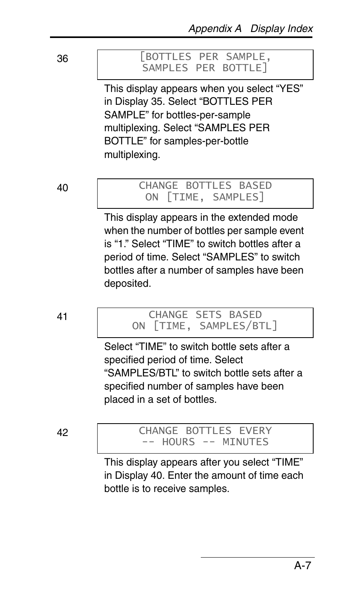#### 36 [BOTTLES PER SAMPLE, SAMPLES PER BOTTLE]

This display appears when you select "YES" in Display 35. Select "BOTTLES PER SAMPLE" for bottles-per-sample multiplexing. Select "SAMPLES PER BOTTLE" for samples-per-bottle multiplexing.

#### 40 CHANGE BOTTLES BASED ON [TIME, SAMPLES]

This display appears in the extended mode when the number of bottles per sample event is "1." Select "TIME" to switch bottles after a period of time. Select "SAMPLES" to switch bottles after a number of samples have been deposited.

41 CHANGE SETS BASED ON [TIME, SAMPLES/BTL]

> Select "TIME" to switch bottle sets after a specified period of time. Select "SAMPLES/BTL" to switch bottle sets after a specified number of samples have been placed in a set of bottles.

#### 42 CHANGE BOTTLES EVERY -- HOURS -- MINUTES

This display appears after you select "TIME" in Display 40. Enter the amount of time each bottle is to receive samples.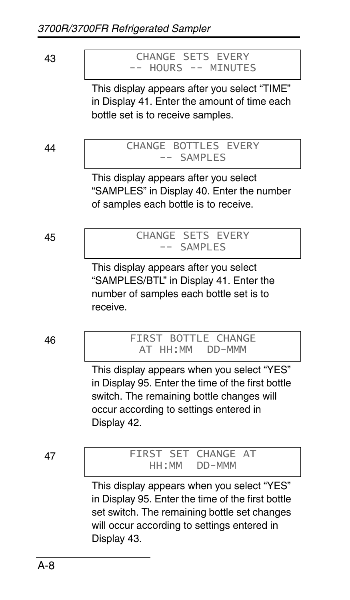#### 43 CHANGE SETS EVERY<br>-- HOURS -- MINUTE -- MINUTES

This display appears after you select "TIME" in Display 41. Enter the amount of time each bottle set is to receive samples.

#### 44 | CHANGE BOTTLES EVERY SAMPLES

This display appears after you select "SAMPLES" in Display 40. Enter the number of samples each bottle is to receive.

45 | CHANGE SETS EVERY -- SAMPLES

> This display appears after you select "SAMPLES/BTL" in Display 41. Enter the number of samples each bottle set is to receive.

46 FIRST BOTTLE CHANGE AT HH:MM DD-MMM

> This display appears when you select "YES" in Display 95. Enter the time of the first bottle switch. The remaining bottle changes will occur according to settings entered in Display 42.

47 **FIRST SET CHANGE AT** DD-MMM

> This display appears when you select "YES" in Display 95. Enter the time of the first bottle set switch. The remaining bottle set changes will occur according to settings entered in Display 43.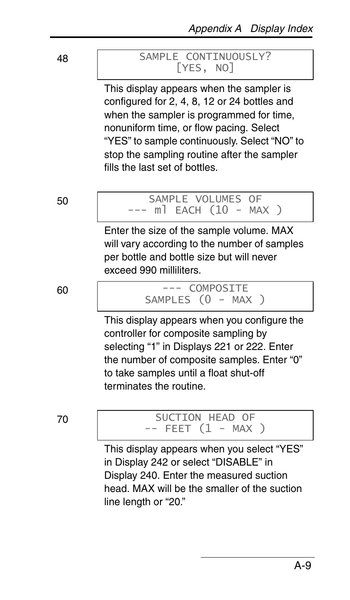### 48 **SAMPLE CONTINUOUSLY?** [YES, NO]

This display appears when the sampler is configured for 2, 4, 8, 12 or 24 bottles and when the sampler is programmed for time, nonuniform time, or flow pacing. Select "YES" to sample continuously. Select "NO" to stop the sampling routine after the sampler fills the last set of bottles.

#### 50 SAMPLE VOLUMES OF  $m$ ] EACH (10 - MAX )

Enter the size of the sample volume. MAX will vary according to the number of samples per bottle and bottle size but will never exceed 990 milliliters.

#### 60 --- COMPOSITE SAMPLES (0 - MAX )

This display appears when you configure the controller for composite sampling by selecting "1" in Displays 221 or 222. Enter the number of composite samples. Enter "0" to take samples until a float shut-off terminates the routine.

#### 70 SUCTION HEAD OF  $--$  FEET  $(1 - MAX)$

This display appears when you select "YES" in Display 242 or select "DISABLE" in Display 240. Enter the measured suction head. MAX will be the smaller of the suction line length or "20."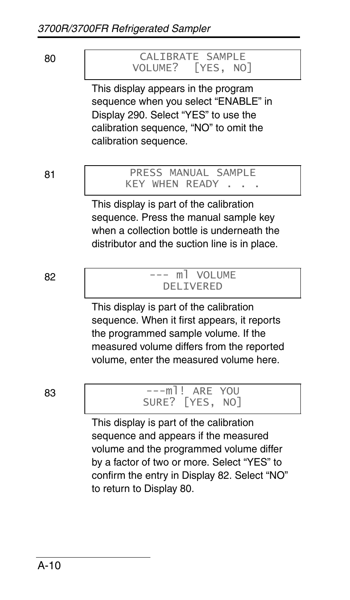#### 80 CALIBRATE SAMPLE<br>VOLUME? [YES. NO  $[YES, NO]$

This display appears in the program sequence when you select "ENABLE" in Display 290. Select "YES" to use the calibration sequence, "NO" to omit the calibration sequence.

#### 81 PRESS MANUAL SAMPLE KEY WHEN READY

This display is part of the calibration sequence. Press the manual sample key when a collection bottle is underneath the distributor and the suction line is in place.

#### 82 | The Second Columbus --- ml VOLUME DEL TVERED

This display is part of the calibration sequence. When it first appears, it reports the programmed sample volume. If the measured volume differs from the reported volume, enter the measured volume here.

### 83 ---ml! ARE YOU SURE? [YES, NO]

This display is part of the calibration sequence and appears if the measured volume and the programmed volume differ by a factor of two or more. Select "YES" to confirm the entry in Display 82. Select "NO" to return to Display 80.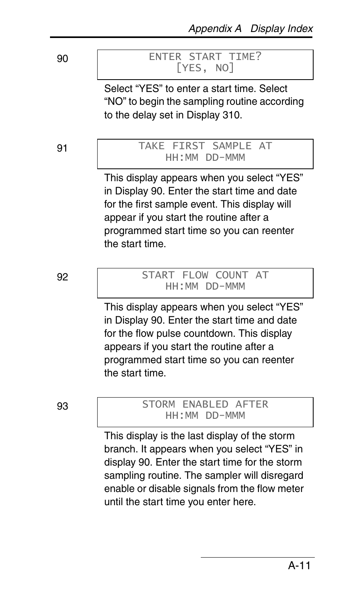#### 90 ENTER START TIME? [YES, NO]

Select "YES" to enter a start time. Select "NO" to begin the sampling routine according to the delay set in Display 310.

#### 91 | TAKE FIRST SAMPLE AT HH:MM DD-MMM

This display appears when you select "YES" in Display 90. Enter the start time and date for the first sample event. This display will appear if you start the routine after a programmed start time so you can reenter the start time.

#### 92 START FLOW COUNT AT HH:MM DD-MMM

This display appears when you select "YES" in Display 90. Enter the start time and date for the flow pulse countdown. This display appears if you start the routine after a programmed start time so you can reenter the start time.

93 STORM ENABLED AFTER HH:MM DD-MMM

> This display is the last display of the storm branch. It appears when you select "YES" in display 90. Enter the start time for the storm sampling routine. The sampler will disregard enable or disable signals from the flow meter until the start time you enter here.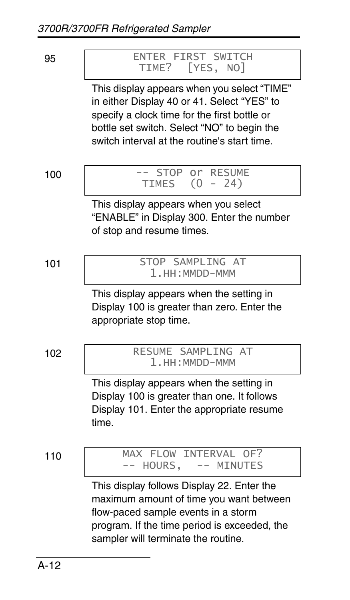| 95 | ENTER FIRST SWITCH |  |
|----|--------------------|--|
|    | TIME? [YES, NO]    |  |

This display appears when you select "TIME" in either Display 40 or 41. Select "YES" to specify a clock time for the first bottle or bottle set switch. Select "NO" to begin the switch interval at the routine's start time.

100 | -- STOP or RESUME TIMES (0 - 24)

> This display appears when you select "ENABLE" in Display 300. Enter the number of stop and resume times.

101 STOP SAMPLING AT 1.HH:MMDD-MMM

> This display appears when the setting in Display 100 is greater than zero. Enter the appropriate stop time.

102 RESUME SAMPLING AT 1.HH:MMDD-MMM

> This display appears when the setting in Display 100 is greater than one. It follows Display 101. Enter the appropriate resume time.

110 MAX FLOW INTERVAL OF?<br>-- HOURS, -- MINUTES -- HOURS.

> This display follows Display 22. Enter the maximum amount of time you want between flow-paced sample events in a storm program. If the time period is exceeded, the sampler will terminate the routine.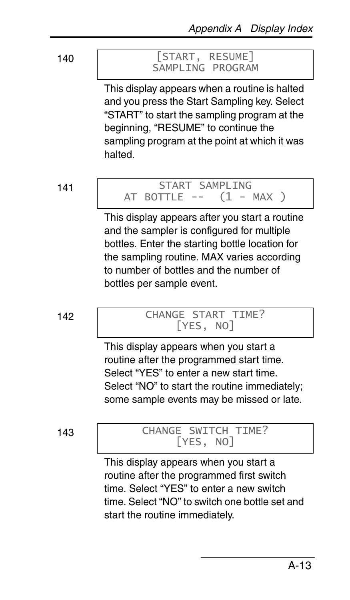#### 140 [START, RESUME] SAMPLING PROGRAM

This display appears when a routine is halted and you press the Start Sampling key. Select "START" to start the sampling program at the beginning, "RESUME" to continue the sampling program at the point at which it was halted.

#### 141 | START SAMPLING<br>AT BOTTLE -- (1 - MAX ) AT BOTTLE  $--$

This display appears after you start a routine and the sampler is configured for multiple bottles. Enter the starting bottle location for the sampling routine. MAX varies according to number of bottles and the number of bottles per sample event.

#### 142 | CHANGE START TIME? [YES, NO]

This display appears when you start a routine after the programmed start time. Select "YES" to enter a new start time. Select "NO" to start the routine immediately; some sample events may be missed or late.

#### 143 | CHANGE SWITCH TIME? [YES, NO]

This display appears when you start a routine after the programmed first switch time. Select "YES" to enter a new switch time. Select "NO" to switch one bottle set and start the routine immediately.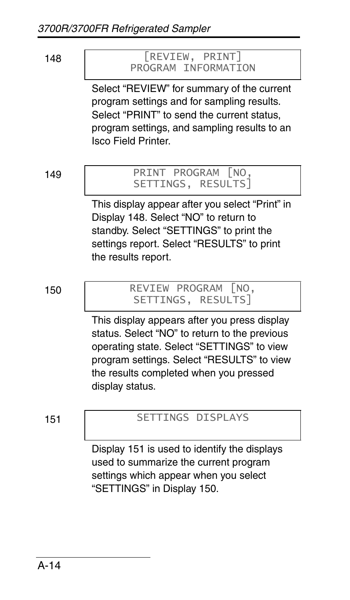#### 148 [REVIEW, PRINT] PROGRAM INFORMATION

Select "REVIEW" for summary of the current program settings and for sampling results. Select "PRINT" to send the current status, program settings, and sampling results to an Isco Field Printer.

#### 149 PRINT PROGRAM [NO, SETTINGS, RESULTS]

This display appear after you select "Print" in Display 148. Select "NO" to return to standby. Select "SETTINGS" to print the settings report. Select "RESULTS" to print the results report.

#### 150 REVIEW PROGRAM [NO, SETTINGS, RESULTS]

This display appears after you press display status. Select "NO" to return to the previous operating state. Select "SETTINGS" to view program settings. Select "RESULTS" to view the results completed when you pressed display status.

### 151 SETTINGS DISPLAYS

Display 151 is used to identify the displays used to summarize the current program settings which appear when you select "SETTINGS" in Display 150.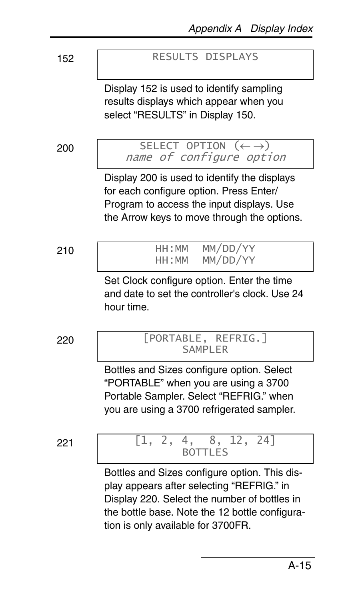152 RESULTS DISPLAYS

Display 152 is used to identify sampling results displays which appear when you select "RESULTS" in Display 150.

 $200$  SELECT OPTION  $(\leftarrow \rightarrow)$  name of configure option

Display 200 is used to identify the displays for each configure option. Press Enter/ Program to access the input displays. Use the Arrow keys to move through the options.

210 **HH:MM MM/DD/YY**<br>HH:MM MM/DD/YY MM/DD/YY

> Set Clock configure option. Enter the time and date to set the controller's clock. Use 24 hour time.

220 [PORTABLE, REFRIG.] SAMPI FR

> Bottles and Sizes configure option. Select "PORTABLE" when you are using a 3700 Portable Sampler. Select "REFRIG." when you are using a 3700 refrigerated sampler.

#### 221 [1, 2, 4, 8, 12, 24] BOTTLES

Bottles and Sizes configure option. This display appears after selecting "REFRIG." in Display 220. Select the number of bottles in the bottle base. Note the 12 bottle configuration is only available for 3700FR.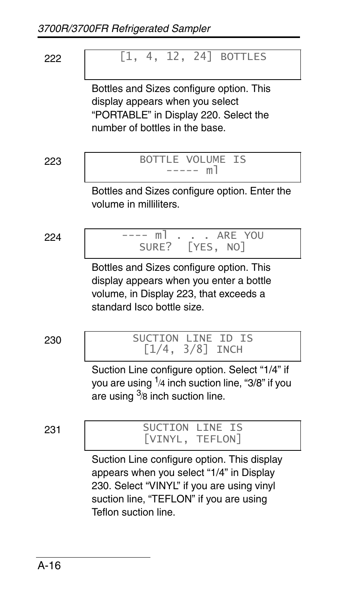222 [1, 4, 12, 24] BOTTLES

Bottles and Sizes configure option. This display appears when you select "PORTABLE" in Display 220. Select the number of bottles in the base.

223 BOTTLE VOLUME IS ----- ml

Bottles and Sizes configure option. Enter the volume in milliliters.

$$
^{224}
$$



Bottles and Sizes configure option. This display appears when you enter a bottle volume, in Display 223, that exceeds a standard Isco bottle size.

230 SUCTION LINE ID IS [1/4, 3/8] INCH

> Suction Line configure option. Select "1/4" if you are using  $^{1}\!$ /4 inch suction line, "3/8" if you are using  $3/8$  inch suction line.

### 231 SUCTION LINE IS [VINYL, TEFLON]

Suction Line configure option. This display appears when you select "1/4" in Display 230. Select "VINYL" if you are using vinyl suction line, "TEFLON" if you are using Teflon suction line.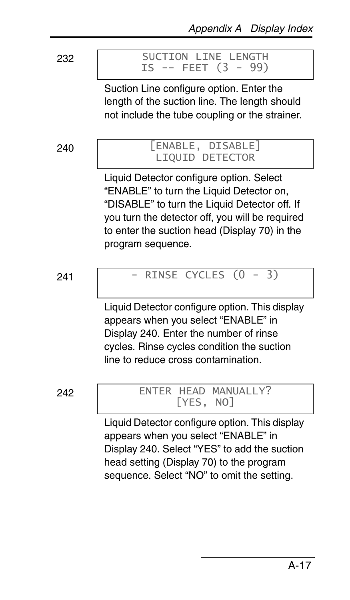#### 232 | SUCTION LINE LENGTH IS -- FEET (3 - 99)

Suction Line configure option. Enter the length of the suction line. The length should not include the tube coupling or the strainer.

#### 240 [ENABLE, DISABLE] LIQUID DETECTOR

Liquid Detector configure option. Select "ENABLE" to turn the Liquid Detector on, "DISABLE" to turn the Liquid Detector off. If you turn the detector off, you will be required to enter the suction head (Display 70) in the program sequence.

$$
241\\
$$

## RINSE CYCLES  $(0 - 3)$

Liquid Detector configure option. This display appears when you select "ENABLE" in Display 240. Enter the number of rinse cycles. Rinse cycles condition the suction line to reduce cross contamination.

242 | ENTER HEAD MANUALLY? [YES, NO]

> Liquid Detector configure option. This display appears when you select "ENABLE" in Display 240. Select "YES" to add the suction head setting (Display 70) to the program sequence. Select "NO" to omit the setting.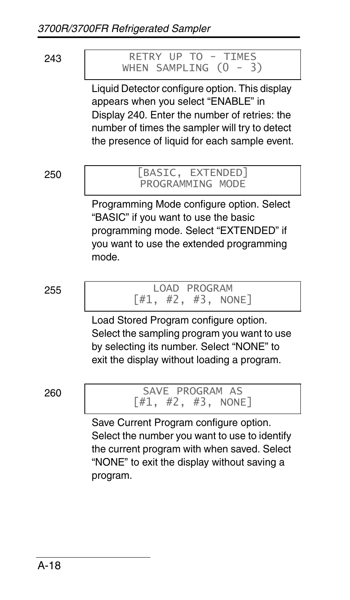#### 243 | RETRY UP TO - TIMES WHEN SAMPLING  $(0 - 3)$

Liquid Detector configure option. This display appears when you select "ENABLE" in Display 240. Enter the number of retries: the number of times the sampler will try to detect the presence of liquid for each sample event.

#### 250 [BASIC, EXTENDED] PROGRAMMING MODE

Programming Mode configure option. Select "BASIC" if you want to use the basic programming mode. Select "EXTENDED" if you want to use the extended programming mode.

255 LOAD PROGRAM [#1, #2, #3, NONE]

Load Stored Program configure option. Select the sampling program you want to use by selecting its number. Select "NONE" to exit the display without loading a program.

260 SAVE PROGRAM AS  $[#1, #2, #3, NONE]$ 

> Save Current Program configure option. Select the number you want to use to identify the current program with when saved. Select "NONE" to exit the display without saving a program.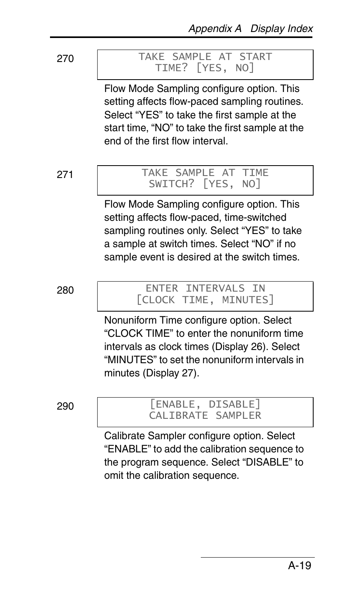#### 270 TAKE SAMPLE AT START TIME? [YES, NO]

Flow Mode Sampling configure option. This setting affects flow-paced sampling routines. Select "YES" to take the first sample at the start time, "NO" to take the first sample at the end of the first flow interval.

#### 271 TAKE SAMPLE AT TIME SWITCH? [YES, NO]

Flow Mode Sampling configure option. This setting affects flow-paced, time-switched sampling routines only. Select "YES" to take a sample at switch times. Select "NO" if no sample event is desired at the switch times.

280 ENTER INTERVALS IN [CLOCK TIME, MINUTES]

> Nonuniform Time configure option. Select "CLOCK TIME" to enter the nonuniform time intervals as clock times (Display 26). Select "MINUTES" to set the nonuniform intervals in minutes (Display 27).

290 [ENABLE, DISABLE] CALIBRATE SAMPLER

> Calibrate Sampler configure option. Select "ENABLE" to add the calibration sequence to the program sequence. Select "DISABLE" to omit the calibration sequence.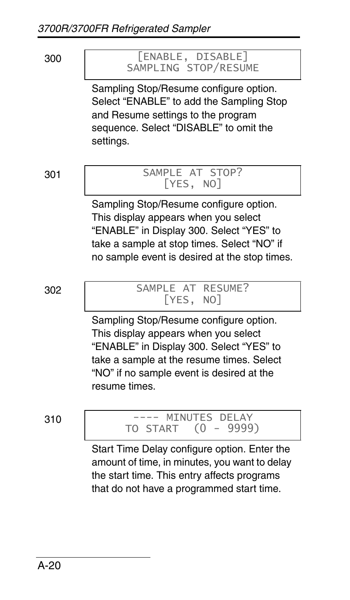300 [ENABLE, DISABLE] SAMPLING STOP/RESUME Sampling Stop/Resume configure option. Select "ENABLE" to add the Sampling Stop and Resume settings to the program sequence. Select "DISABLE" to omit the settings. 301 SAMPLE AT STOP? [YES, NO] Sampling Stop/Resume configure option. This display appears when you select "ENABLE" in Display 300. Select "YES" to take a sample at stop times. Select "NO" if no sample event is desired at the stop times. 302 SAMPLE AT RESUME? [YES, NO] Sampling Stop/Resume configure option. This display appears when you select "ENABLE" in Display 300. Select "YES" to take a sample at the resume times. Select "NO" if no sample event is desired at the resume times.

310 ---- MINUTES DELAY<br>TO START (0 - 9999  $(0 - 9999)$ 

> Start Time Delay configure option. Enter the amount of time, in minutes, you want to delay the start time. This entry affects programs that do not have a programmed start time.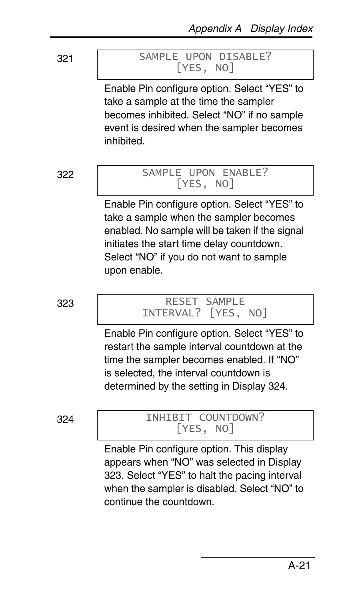#### 321 SAMPLE UPON DISABLE? [YES, NO]

Enable Pin configure option. Select "YES" to take a sample at the time the sampler becomes inhibited. Select "NO" if no sample event is desired when the sampler becomes inhibited.

#### 322 SAMPLE UPON ENABLE? [YES, NO]

Enable Pin configure option. Select "YES" to take a sample when the sampler becomes enabled. No sample will be taken if the signal initiates the start time delay countdown. Select "NO" if you do not want to sample upon enable.

#### 323 RESET SAMPLE INTERVAL? [YES, NO]

Enable Pin configure option. Select "YES" to restart the sample interval countdown at the time the sampler becomes enabled. If "NO" is selected, the interval countdown is determined by the setting in Display 324.

#### 324 INHIBIT COUNTDOWN? [YES, NO]

Enable Pin configure option. This display appears when "NO" was selected in Display 323. Select "YES" to halt the pacing interval when the sampler is disabled. Select "NO" to continue the countdown.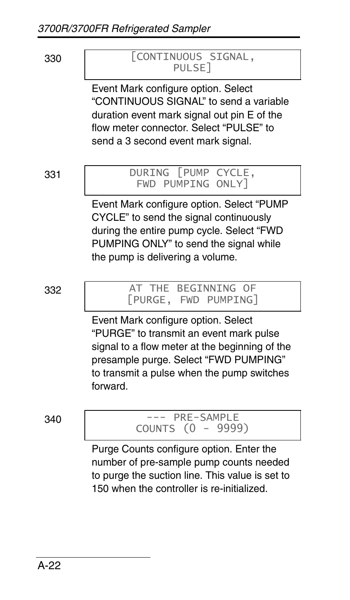

#### 330 [CONTINUOUS SIGNAL, PULSE]

Event Mark configure option. Select "CONTINUOUS SIGNAL" to send a variable duration event mark signal out pin E of the flow meter connector. Select "PULSE" to send a 3 second event mark signal.

#### 331 DURING [PUMP CYCLE, FWD PUMPING ONLY]

Event Mark configure option. Select "PUMP CYCLE" to send the signal continuously during the entire pump cycle. Select "FWD PUMPING ONLY" to send the signal while the pump is delivering a volume.

332 | AT THE BEGINNING OF [PURGE, FWD PUMPING]

> Event Mark configure option. Select "PURGE" to transmit an event mark pulse signal to a flow meter at the beginning of the presample purge. Select "FWD PUMPING" to transmit a pulse when the pump switches forward.

340 --- PRE-SAMPLE COUNTS (0 - 9999)

> Purge Counts configure option. Enter the number of pre-sample pump counts needed to purge the suction line. This value is set to 150 when the controller is re-initialized.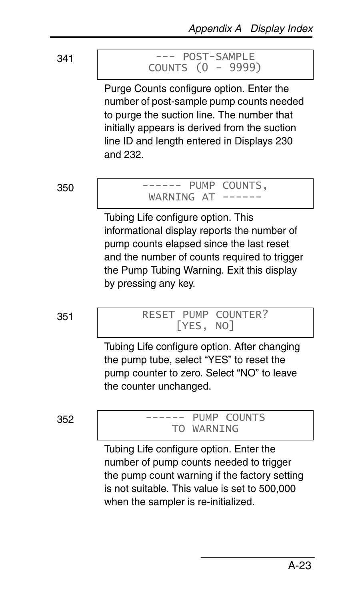#### 341 --- POST-SAMPLE COUNTS (0 - 9999)

Purge Counts configure option. Enter the number of post-sample pump counts needed to purge the suction line. The number that initially appears is derived from the suction line ID and length entered in Displays 230 and 232.

#### 350 ------ PUMP COUNTS, WARNING AT

Tubing Life configure option. This informational display reports the number of pump counts elapsed since the last reset and the number of counts required to trigger the Pump Tubing Warning. Exit this display by pressing any key.

#### 351 RESET PUMP COUNTER? [YES, NO]

Tubing Life configure option. After changing the pump tube, select "YES" to reset the pump counter to zero. Select "NO" to leave the counter unchanged.

 $352$   $----$  PUMP COUNTS TO WARNING

> Tubing Life configure option. Enter the number of pump counts needed to trigger the pump count warning if the factory setting is not suitable. This value is set to 500,000 when the sampler is re-initialized.